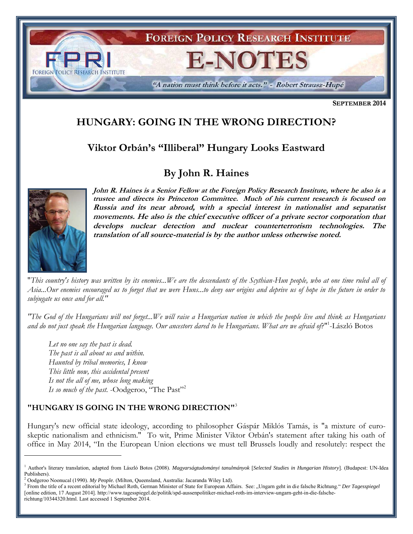

**SEPTEMBER 2014**

# **HUNGARY: GOING IN THE WRONG DIRECTION?**

# **Viktor Orbán's "Illiberal" Hungary Looks Eastward**

# **By John R. Haines**



 $\overline{a}$ 

**John R. Haines is a Senior Fellow at the Foreign Policy Research Institute, where he also is a trustee and directs its Princeton Committee. Much of his current research is focused on Russia and its near abroad, with a special interest in nationalist and separatist movements. He also is the chief executive officer of a private sector corporation that develops nuclear detection and nuclear counterterrorism technologies. The translation of all source-material is by the author unless otherwise noted.** 

"*This country's history was written by its enemies...We are the descendants of the Scythian-Hun people, who at one time ruled all of Asia...Our enemies encouraged us to forget that we were Huns...to deny our origins and deprive us of hope in the future in order to subjugate us once and for all."*

*"The God of the Hungarians will not forget...We will raise a Hungarian nation in which the people live and think as Hungarians and do not just speak the Hungarian language. Our ancestors dared to be Hungarians. What are we afraid of*?"<sup>1</sup> -László Botos

*Let no one say the past is dead. The past is all about us and within. Haunted by tribal memories, I know This little now, this accidental present Is not the all of me, whose long making Is so much of the past.* -Oodgeroo, "The Past"<sup>2</sup>

# **"HUNGARY IS GOING IN THE WRONG DIRECTION"** 3

Hungary's new official state ideology, according to philosopher Gáspár Miklós Tamás, is "a mixture of euroskeptic nationalism and ethnicism." To wit, Prime Minister Viktor Orbán's statement after taking his oath of office in May 2014, "In the European Union elections we must tell Brussels loudly and resolutely: respect the

<sup>1</sup> Author's literary translation, adapted from László Botos (2008). *Magyarságtudományi tanulmányok* [*Selected Studies in Hungarian History*]. (Budapest: UN-Idea Publishers).

<sup>2</sup> Oodgeroo Noonucal (1990). *My People.* (Milton, Queensland, Australia: Jacaranda Wiley Ltd).

<sup>3</sup> From the title of a recent editorial by Michael Roth, German Minister of State for European Affairs. See: "Ungarn geht in die falsche Richtung." *Der Tagesspiegel* [online edition, 17 August 2014]. http://www.tagesspiegel.de/politik/spd-aussenpolitiker-michael-roth-im-interview-ungarn-geht-in-die-falscherichtung/10344320.html. Last accessed 1 September 2014.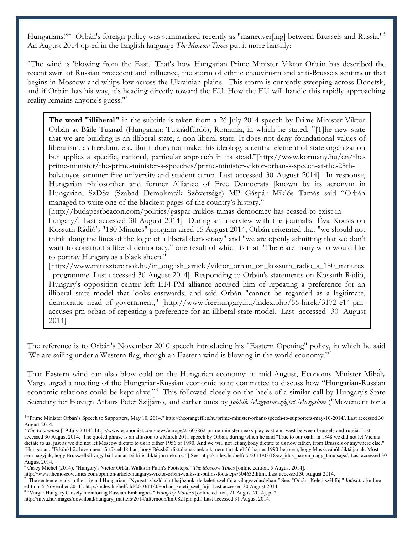Hungarians!"<sup>4</sup> Orbán's foreign policy was summarized recently as "maneuver[ing] between Brussels and Russia."<sup>5</sup> An August 2014 op-ed in the English language *The Moscow Times* put it more harshly:

"The wind is 'blowing from the East.' That's how Hungarian Prime Minister Viktor Orbán has described the recent swirl of Russian precedent and influence, the storm of ethnic chauvinism and anti-Brussels sentiment that begins in Moscow and whips low across the Ukrainian plains. This storm is currently sweeping across Donetsk, and if Orbán has his way, it's heading directly toward the EU. How the EU will handle this rapidly approaching reality remains anyone's guess."<sup>6</sup>

**The word "illiberal"** in the subtitle is taken from a 26 July 2014 speech by Prime Minister Viktor Orbán at Băile Tuşnad Hungarian: Tusnádfürdő), Romania, in which he stated, [T]he new state that we are building is an illiberal state, a non-liberal state. It does not deny foundational values of liberalism, as freedom, etc. But it does not make this ideology a central element of state organization but applies a specific, national, particular approach in its stead."[http://www.kormany.hu/en/theprime-minister/the-prime-minister-s-speeches/prime-minister-viktor-orban-s-speech-at-the-25thbalvanyos-summer-free-university-and-student-camp. Last accessed 30 August 2014] In response, Hungarian philosopher and former Alliance of Free Democrats [known by its acronym in Hungarian, SzDSz (Szabad Demokraták Szövetsége) MP Gáspár Miklós Tamás said "Orbán managed to write one of the blackest pages of the country's history." [http://budapestbeacon.com/politics/gaspar-miklos-tamas-democracy-has-ceased-to-exist-in-

hungary/. Last accessed 30 August 2014] During an interview with the journalist Eva Kocsis on Kossuth Rádió's "180 Minutes" program aired 15 August 2014, Orbán reiterated that "we should not think along the lines of the logic of a liberal democracy" and "we are openly admitting that we don't want to construct a liberal democracy," one result of which is that "There are many who would like to portray Hungary as a black sheep."

[http://www.miniszterelnok.hu/in\_english\_article/viktor\_orban\_on\_kossuth\_radio\_s\_180\_minutes \_programme. Last accessed 30 August 2014] Responding to Orbán's statements on Kossuth Rádió, Hungary's opposition center left E14-PM alliance accused him of repeating a preference for an illiberal state model that looks eastwards, and said Orbán "cannot be regarded as a legitimate, democratic head of government," [http://www.freehungary.hu/index.php/56-hirek/3172-e14-pmaccuses-pm-orban-of-repeating-a-preference-for-an-illiberal-state-model. Last accessed 30 August 2014]

The reference is to Orbán's November 2010 speech introducing his "Eastern Opening" policy, in which he said 'We are sailing under a Western flag, though an Eastern wind is blowing in the world economy."<sup>7</sup>

That Eastern wind can also blow cold on the Hungarian economy: in mid-August, Economy Minister Mihaly Varga urged a meeting of the Hungarian-Russian economic joint committee to discuss how "Hungarian-Russian economic relations could be kept alive."<sup>8</sup> This followed closely on the heels of a similar call by Hungary's State Secretary for Foreign Affairs Peter Szijjarto, and earlier ones by *Jobbik Magyarországért Mozgalom* ("Movement for a

<sup>4</sup> "Prime Minister Orbán's Speech to Supporters, May 10, 2014." http://theorangefiles.hu/prime-minister-orbans-speech-to-supporters-may-10-2014/. Last accessed 30 August 2014.

<sup>5</sup> *The Economist* [19 July 2014]. http://www.economist.com/news/europe/21607862-prime-minister-seeks-play-east-and-west-between-brussels-and-russia. Last accessed 30 August 2014. The quoted phrase is an allusion to a March 2011 speech by Orbán, during which he said "True to our oath, in 1848 we did not let Vienna dictate to us, just as we did not let Moscow dictate to us in either 1956 or 1990. And we will not let anybody dictate to us now either, from Brussels or anywhere else." [Hungarian: "Eskünkhöz híven nem tűrtük el 48-ban, hogy Bécsből diktáljanak nekünk, nem tűrtük el 56-ban és 1990-ben sem, hogy Moszkvából diktáljanak. Most sem hagyjuk, hogy Brüsszelből vagy bárhonnan bárki is diktáljon nekünk. "] See: http://index.hu/belfold/2011/03/18/az\_idus\_harom\_nagy\_tanulsaga/. Last accessed 30 August 2014.

<sup>6</sup> Casey Michel (2014). "Hungary's Victor Orbán Walks in Putin's Footsteps." *The Moscow Times* [online edition, 5 August 2014].

http://www.themoscowtimes.com/opinion/article/hungarys-viktor-orban-walks-in-putins-footsteps/504632.html. Last accessed 30 August 2014.

<sup>7</sup> The sentence reads in the original Hungarian: "Nyugati zászló alatt hajózunk, de keleti szél fúj a világgazdaságban*."* See: "Orbán: Keleti szél fúj." *Index.hu* [online edition, 5 November 2011]. http://index.hu/belfold/2010/11/05/orban\_keleti\_szel\_fuj/. Last accessed 30 August 2014.

<sup>8</sup> "Varga: Hungary Closely monitoring Russian Embargoes." *Hungary Matters* [online edition, 21 August 2014], p. 2.

http://mtva.hu/images/download/hungary\_matters/2014/afternoon/hm0821pm.pdf. Last accessed 31 August 2014.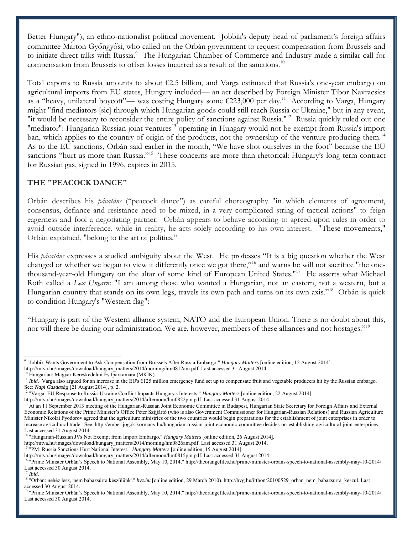Better Hungary"), an ethno-nationalist political movement. Jobbik's deputy head of parliament's foreign affairs committee Marton Gyöngyösi, who called on the Orbán government to request compensation from Brussels and to initiate direct talks with Russia.<sup>9</sup> The Hungarian Chamber of Commerce and Industry made a similar call for compensation from Brussels to offset losses incurred as a result of the sanctions.<sup>10</sup>

Total exports to Russia amounts to about €2.5 billion, and Varga estimated that Russia's one-year embargo on agricultural imports from EU states, Hungary included— an act described by Foreign Minister Tibor Navracsics as a "heavy, unilateral boycott"— was costing Hungary some €223,000 per day.<sup>11</sup> According to Varga, Hungary might "find mediators [sic] through which Hungarian goods could still reach Russia or Ukraine," but in any event, "it would be necessary to reconsider the entire policy of sanctions against Russia."<sup>12</sup> Russia quickly ruled out one "mediator": Hungarian-Russian joint ventures<sup>13</sup> operating in Hungary would not be exempt from Russia's import ban, which applies to the country of origin of the products, not the ownership of the venture producing them.<sup>14</sup> As to the EU sanctions, Orbán said earlier in the month, "We have shot ourselves in the foot" because the EU sanctions "hurt us more than Russia."<sup>15</sup> These concerns are more than rhetorical: Hungary's long-term contract for Russian gas, signed in 1996, expires in 2015.

# **THE "PEACOCK DANCE"**

Orbán describes his *pávatánc* ("peacock dance") as careful choreography "in which elements of agreement, consensus, defiance and resistance need to be mixed, in a very complicated string of tactical actions" to feign eagerness and fool a negotiating partner. Orbán appears to behave according to agreed-upon rules in order to avoid outside interference, while in reality, he acts solely according to his own interest. "These movements," Orbán explained, "belong to the art of politics."

His *pávatánc* expresses a studied ambiguity about the West. He professes "It is a big question whether the West changed or whether we began to view it differently once we got there,"<sup>16</sup> and warns he will not sacrifice "the onethousand-year-old Hungary on the altar of some kind of European United States."<sup>17</sup> He asserts what Michael Roth called a *Lex Ungarn*: "I am among those who wanted a Hungarian, not an eastern, not a western, but a Hungarian country that stands on its own legs, travels its own path and turns on its own axis."<sup>18</sup> Orbán is quick to condition Hungary's "Western flag":

"Hungary is part of the Western alliance system, NATO and the European Union. There is no doubt about this, nor will there be during our administration. We are, however, members of these alliances and not hostages."<sup>19</sup>

<sup>9</sup> "Jobbik Wants Government to Ask Compensation from Brussels After Russia Embargo." *Hungary Matters* [online edition, 12 August 2014]. http://mtva.hu/images/download/hungary\_matters/2014/morning/hm0812am.pdf. Last accessed 31 August 2014.

<sup>&</sup>lt;sup>0</sup> Hungarian: Magyar Kereskedelmi És Iparkamara (MKIK).

<sup>&</sup>lt;sup>11</sup> *Ibid.* Varga also argued for an increase in the EU's  $\epsilon$ 125 million emergency fund set up to compensate fruit and vegetable producers hit by the Russian embargo. See: *Napi Gazdaság* [21 August 2014], p. 2.

<sup>12</sup> "Varga: EU Response to Russia-Ukraine Conflict Impacts Hungary's Interests." *Hungary Matters* [online edition, 22 August 2014].

http://mtva.hu/images/download/hungary\_matters/2014/afternoon/hm0822pm.pdf. Last accessed 31 August 2014.

<sup>&</sup>lt;sup>13</sup> At an 11 September 2013 meeting of the Hungarian-Russian Joint Economic Committee in Budapest, Hungarian State Secretary for Foreign Affairs and External Economic Relations of the Prime Minister's Office Péter Szijjártó (who is also Government Commissioner for Hungarian-Russian Relations) and Russian Agriculture Minister Nikolai Fyodorov agreed that the agriculture ministries of the two countries would begin preparations for the establishment of joint enterprises in order to increase agricultural trade. See: http://emberijogok.kormany.hu/hungarian-russian-joint-economic-committee-decides-on-establishing-agricultural-joint-enterprises. Last accessed 31 August 2014.

<sup>&</sup>lt;sup>14</sup> "Hungarian-Russian JVs Not Exempt from Import Embargo." *Hungary Matters* [online edition, 26 August 2014].

http://mtva.hu/images/download/hungary\_matters/2014/morning/hm0826am.pdf. Last accessed 31 August 2014.

<sup>15</sup> "PM: Russia Sanctions Hurt National Interest." *Hungary Matters* [online edition, 15 August 2014].

http://mtva.hu/images/download/hungary\_matters/2014/afternoon/hm0815pm.pdf. Last accessed 31 August 2014.

<sup>&</sup>lt;sup>16</sup> "Prime Minister Orbán's Speech to National Assembly, May 10, 2014." http://theorangefiles.hu/prime-minister-orbans-speech-to-national-assembly-may-10-2014/. Last accessed 30 August 2014.

<sup>17</sup> *Ibid.*

<sup>18</sup> "Orbán: nehéz lesz, 'nem babazsúrra készülünk'." *hvz.hu* [online edition, 29 March 2010). http://hvg.hu/itthon/20100529\_orban\_nem\_babazsurra\_keszul. Last accessed 30 August 2014.

<sup>&</sup>lt;sup>19</sup> "Prime Minister Orbán's Speech to National Assembly, May 10, 2014." http://theorangefiles.hu/prime-minister-orbans-speech-to-national-assembly-may-10-2014/. Last accessed 30 August 2014.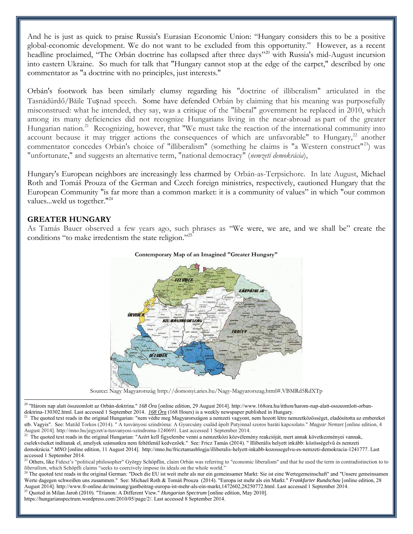And he is just as quick to praise Russia's Eurasian Economic Union: "Hungary considers this to be a positive global-economic development. We do not want to be excluded from this opportunity." However, as a recent headline proclaimed, "The Orbán doctrine has collapsed after three days"<sup>20</sup> with Russia's mid-August incursion into eastern Ukraine. So much for talk that "Hungary cannot stop at the edge of the carpet," described by one commentator as "a doctrine with no principles, just interests."

Orbán's footwork has been similarly clumsy regarding his "doctrine of illiberalism" articulated in the Tasnádürdő/Băile Tușnad speech. Some have defended Orbán by claiming that his meaning was purposefully misconstrued: what he intended, they say, was a critique of the "liberal" government he replaced in 2010, which among its many deficiencies did not recognize Hungarians living in the near-abroad as part of the greater Hungarian nation.<sup>21</sup> Recognizing, however, that "We must take the reaction of the international community into account because it may trigger actions the consequences of which are unfavorable" to Hungary, $^{22}$  another commentator concedes Orbán's choice of "illiberalism" (something he claims is "a Western construct"<sup>23</sup>) was "unfortunate," and suggests an alternative term, "national democracy" (*nemzeti demokrácia*),

Hungary's European neighbors are increasingly less charmed by Orbán-as-Terpsichore. In late August, Michael Roth and Tomáš Prouza of the German and Czech foreign ministries, respectively, cautioned Hungary that the European Community "is far more than a common market: it is a community of values" in which "our common values...weld us together."<sup>24</sup>

### **GREATER HUNGARY**

As Tamás Bauer observed a few years ago, such phrases as "We were, we are, and we shall be" create the conditions "to make irredentism the state religion."<sup>25</sup>



#### **Contemporary Map of an Imagined "Greater Hungary"**

Source**:** Nagy Magyarország http://domonyi.aries.hu/Nagy-Magyarorszag.html#.VBMRd5RdXTp

 $\overline{a}$ <sup>20</sup> "Három nap alatt összeomlott az Orbán-doktrína." *168 Óra* [online edition, 29 August 2014]. http://www.168ora.hu/itthon/harom-nap-alatt-osszeomlott-orbandoktrina-130302.html. Last accessed 1 September 2014. *168 Óra* (168 Hours) is a weekly newspaper published in Hungary.

<sup>21</sup> The quoted text reads in the original Hungarian: "nem védte meg Magyarországon a nemzeti vagyont, nem hozott létre nemzetközösséget, eladósította az embereket stb. Vagyis". See: Matild Torkos (2014). " A tusványosi szindróma: A Gyurcsány család ápolt Putyinnal szoros baráti kapcsolato." *Magyar Nemzet* [online edition, 4 August 2014]. http://mno.hu/jegyzet/a-tusvanyosi-szindroma-1240691. Last accessed 1 September 2014.

<sup>&</sup>lt;sup>22</sup> The quoted text reads in the original Hungarian: "Azért kell figyelembe venni a nemzetközi közvélemény reakcióját, mert annak következményei vannak, cselekvéseket indítanak el, amelyek számunkra nem feltétlenül kedvezőek." See: Fricz Tamás (2014). " Illiberális helyett inkább: közösségelvű és nemzeti demokrácia." *MNO* [online edition, 11 August 2014]. http://mno.hu/fricztamasblogja/illiberalis-helyett-inkabb-kozossegelvu-es-nemzeti-demokracia-1241777. Last accessed 1 September 2014.

<sup>&</sup>lt;sup>23</sup> Others, like Fidesz's "political philosopher" György Schöpflin, claim Orbán was referring to "economic liberalism" and that he used the term in contradistinction to to *liberalism*, which Schöpfli claims "seeks to coercively impose its ideals on the whole world."

<sup>&</sup>lt;sup>24</sup> The quoted text reads in the original German: "Doch die EU ist weit mehr als nur ein gemeinsamer Markt: Sie ist eine Wertegemeinschaft" and "Unsere gemeinsamen Werte dagegen schweißen uns zusammen." See: Michael Roth & Tomáš Prouza (2014). "Europa ist mehr als ein Markt." *Frankfurter Rundschau* [online edition, 28 August 2014]. http://www.fr-online.de/meinung/gasteric extension of contract text-ry. Europa ist incident ats ein markt, *rransparter Kundschaul* [on]<br><sup>25</sup> Quoted in Milan Jaroš (2010). "Trianger A Different View," V.

<sup>25</sup> Quoted in Milan Jaroň (2010). "Trianon: A Different View." *Hungarian Spectrum* [online edition, May 2010].

https://hungarianspectrum.wordpress.com/2010/05/page/2/. Last accessed 8 September 2014.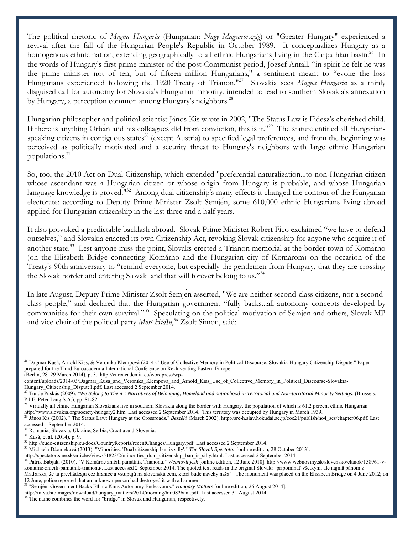The political rhetoric of *Magna Hungaria* (Hungarian: *Nagy Magyarország*) or "Greater Hungary" experienced a revival after the fall of the Hungarian People's Republic in October 1989. It conceptualizes Hungary as a homogenous ethnic nation, extending geographically to all ethnic Hungarians living in the Carpathian basin.<sup>26</sup> In the words of Hungary's first prime minister of the post-Communist period, Jozsef Antall, "in spirit he felt he was the prime minister not of ten, but of fifteen million Hungarians," a sentiment meant to "evoke the loss Hungarians experienced following the 1920 Treaty of Trianon."<sup>27</sup> Slovakia sees *Magna Hungaria* as a thinly disguised call for autonomy for Slovakia's Hungarian minority, intended to lead to southern Slovakia's annexation by Hungary, a perception common among Hungary's neighbors.<sup>28</sup>

Hungarian philosopher and political scientist János Kis wrote in 2002, "The Status Law is Fidesz's cherished child. If there is anything Orban and his colleagues did from conviction, this is it."<sup>29</sup> The statute entitled all Hungarianspeaking citizens in contiguous states<sup>30</sup> (except Austria) to specified legal preferences, and from the beginning was perceived as politically motivated and a security threat to Hungary's neighbors with large ethnic Hungarian populations.<sup>31</sup>

So, too, the 2010 Act on Dual Citizenship, which extended "preferential naturalization...to non-Hungarian citizen whose ascendant was a Hungarian citizen or whose origin from Hungary is probable, and whose Hungarian language knowledge is proved."<sup>32</sup> Among dual citizenship's many effects it changed the contour of the Hungarian electorate: according to Deputy Prime Minister Zsolt Semjen, some 610,000 ethnic Hungarians living abroad applied for Hungarian citizenship in the last three and a half years.

It also provoked a predictable backlash abroad. Slovak Prime Minister Robert Fico exclaimed "we have to defend ourselves," and Slovakia enacted its own Citizenship Act, revoking Slovak citizenship for anyone who acquire it of another state.<sup>33</sup> Lest anyone miss the point, Slovaks erected a Trianon memorial at the border town of Komarno (on the Elisabeth Bridge connecting Komárno and the Hungarian city of Komárom) on the occasion of the Treaty's 90th anniversary to "remind everyone, but especially the gentlemen from Hungary, that they are crossing the Slovak border and entering Slovak land that will forever belong to us."<sup>34</sup>

In late August, Deputy Prime Minister Zsolt Semjen asserted, "We are neither second-class citizens, nor a secondclass people," and declared that the Hungarian government "fully backs...all autonomy concepts developed by communities for their own survival."<sup>35</sup> Speculating on the political motivation of Semjen and others, Slovak MP and vice-chair of the political party *Most-HídIn*, <sup>36</sup> Zsolt Simon, said:

l

<sup>33</sup> Michaela Džomeková (2013). "Minorities: 'Dual citizenship ban is silly'." *The Slovak Spectator* [online edition, 28 October 2013].

<sup>&</sup>lt;sup>26</sup> Dagmar Kusá, Arnold Kiss, & Veronika Klempová (2014). "Use of Collective Memory in Political Discourse: Slovakia-Hungary Citizenship Dispute." Paper prepared for the Third Euroacademia International Conference on Re-Inventing Eastern Europe (Berlin, 28–29 March 2014), p. 3. http://euroacademia.eu/wordpress/wp-

content/uploads/2014/03/Dagmar\_Kusa\_and\_Veronika\_Klempova\_and\_Arnold\_Kiss\_Use\_of\_Collective\_Memory\_in\_Political\_Discourse-Slovakia-Hungary Citizenship Dispute1.pdf. Last accessed 2 September 2014.

<sup>&</sup>lt;sup>27</sup> Tünde Puskás (2009). "We Belong to Them": Narratives of Belonging, Homeland and nationhood in Territorial and Non-territorial Minority Settings. (Brussels: P.I.E. Peter Lang S.A.), pp. 81-82.

<sup>&</sup>lt;sup>28</sup> Virtually all ethnic Hungarian Slovakians live in southern Slovakia along the border with Hungary, the population of which is  $61.2$  percent ethnic Hungarian. http://www.slovakia.org/society-hungary2.htm. Last accessed 2 September 2014. This territory was occupied by Hungary in March 1939.

<sup>&</sup>lt;sup>29</sup> János Kis (2002). "The Status Law: Hungary at the Crossroads." *Beszélő* (March 2002). http://src-h.slav.hokudai.ac.jp/coe21/publish/no4\_ses/chapter06.pdf. Last accessed 1 September 2014.

<sup>30</sup> Romania, Slovakia, Ukraine, Serbia, Croatia and Slovenia.

 $31$  Kusá, et al. (2014), p. 9.

<sup>32</sup> http://eudo-citizenship.eu/docs/CountryReports/recentChanges/Hungary.pdf. Last accessed 2 September 2014.

http://spectator.sme.sk/articles/view/51823/2/minorities\_dual\_citizenship\_ban\_is\_silly.html. Last accessed 2 September 2014.

<sup>&</sup>lt;sup>34</sup> Patrik Babjak, (2010). "V Komárne zničili pamätník Trianonu." Webnoviny.sk [online edition, 12 June 2010]. http://www.webnoviny.sk/slovensko/clanok/158961-vkomarne-znicili-pamatnik-trianonu/. Last accessed 2 September 2014. The quoted text reads in the original Slovak: "pripomínať všetkým, ale najmä pánom z Maďarska, že tu prechádzajú cez hranice a vstupujú na slovenskú zem, ktorá bude naveky naša". The monument was placed on the Elisabeth Bridge on 4 June 2012; on 12 June, police reported that an unknown person had destroyed it with a hammer.

<sup>&</sup>lt;sup>35</sup> "Semjén: Government Backs Ethnic Kin's Autonomy Endeavours." *Hungary Matters* [online edition, 26 August 2014].

http://mtva.hu/images/download/hungary\_matters/2014/morning/hm0826am.pdf. Last accessed 31 August 2014.

<sup>&</sup>lt;sup>36</sup> The name combines the word for "bridge" in Slovak and Hungarian, respectively.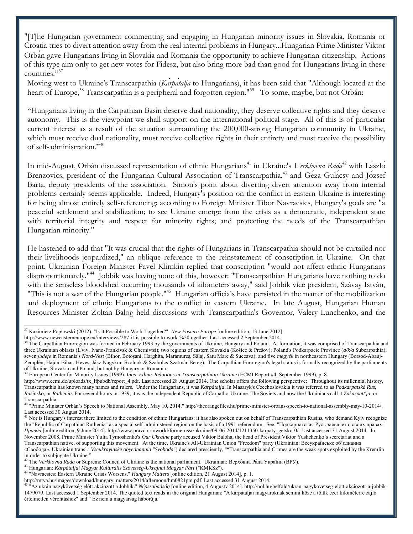"[T]he Hungarian government commenting and engaging in Hungarian minority issues in lovakia, Romania or Croatia tries to divert attention away from the real internal problems in Hungary...Hungarian Prime Minister Viktor Orban gave Hungarians living in Slovakia and Romania the opportunity to achieve Hungarian citizenship. Actions of this type aim only to get new votes for Fidesz, but also bring more bad than good for Hungarians living in these countries."<sup>37</sup>

Moving west to Ukraine's Transcarpathia (*Karpatalja* to Hungarians), it has been said that "Although located at the heart of Europe,<sup>38</sup> Transcarpathia is a peripheral and forgotten region."<sup>39</sup> To some, maybe, but not Orbán:

"Hungarians living in the Carpathian Basin deserve dual nationality, they deserve collective rights and they deserve autonomy. This is the viewpoint we shall support on the international political stage. All of this is of particular current interest as a result of the situation surrounding the 200,000-strong Hungarian community in Ukraine, which must receive dual nationality, must receive collective rights in their entirety and must receive the possibility of self-administration."<sup>40</sup>

In mid-August, Orbán discussed representation of ethnic Hungarians<sup>41</sup> in Ukraine's *Verkhovna Rada*<sup>42</sup> with Laszlo Brenzovics, president of the Hungarian Cultural Association of Transcarpathia,<sup>43</sup> and Geza Gulacsy and Jozsef Barta, deputy presidents of the association. Simon's point about diverting divert attention away from internal problems certainly seems applicable. Indeed, Hungary's position on the conflict in eastern Ukraine is interesting for being almost entirely self-referencing: according to Foreign Minister Tibor Navracsics, Hungary's goals are "a peaceful settlement and stabilization; to see Ukraine emerge from the crisis as a democratic, independent state with territorial integrity and respect for minority rights; and protecting the needs of the Transcarpathian Hungarian minority."

He hastened to add that "It was crucial that the rights of Hungarians in Transcarpathia should not be curtailed nor their livelihoods jeopardized," an oblique reference to the reinstatement of conscription in Ukraine. On that point, Ukrainian Foreign Minister Pavel Klimkin replied that conscription "would not affect ethnic Hungarians disproportionately."<sup>44</sup> Jobbik was having none of this, however: "Transcarpathian Hungarians have nothing to do with the senseless bloodshed occurring thousands of kilometers away," said Jobbik vice president, Szávay István, "This is not a war of the Hungarian people."<sup>45</sup> Hungarian officials have persisted in the matter of the mobilization and deployment of ethnic Hungarians to the conflict in eastern Ukraine. In late August, Hungarian Human Resources Minister Zoltan Balog held discussions with Transcarpathia's Governor, Valery Lunchenko, and the

<sup>&</sup>lt;sup>37</sup> Kazimierz Popławski (2012). "Is It Possible to Work Together?" *New Eastern Europe* [online edition, 13 June 2012].

http://www.neweasterneurope.eu/interviews/287-it-is-possible-to-work-%20together. Last accessed 2 September 2014.

<sup>&</sup>lt;sup>38</sup> The Carpathian Euroregion was formed in February 1993 by the governments of Ukraine, Hungary and Poland. At formation, it was comprised of Transcarpathia and three Ukrainian oblasts (L'viv, Ivano-Frankivsk & Chernivtsi); two regions of eastern Slovakia (Košice & Prešov); Poland's Podkarpacie Province (a/k/a Subcarpathia); seven *județe* in Romania's *Nord-Vest* (Bihor, Botoşani, Harghita, Maramureș, Sălaj, Satu Mare & Suceava); and five *megyék* in northeastern Hungary (Borsod-Abaúj-Zemplén, Hajdú-Bihar, Heves, Jász-Nagykun-Szolnok & Szabolcs-Szatmár-Bereg). The Carpathian Euroregion's legal status is formally recognized by the parliaments of Ukraine, Slovakia and Poland, but not by Hungary or Romania.

<sup>&</sup>lt;sup>9</sup> European Center for Minority Issues (1999). *Inter-Ethnic Relations in Transcarpathian Ukraine* (ECMI Report #4, September 1999), p. 8.

http://www.ecmi.de/uploads/tx\_lfpubdb/report\_4.pdf. Last accessed 28 August 2014. One scholar offers the following perspective: "Throughout its millennial history, Transcarpathia has known many names and rulers. Under the Hungarians, it was *Kárpátalja*. In Masaryk's Czechoslovakia it was referred to as *Podkarpatská Rus*, *Rusínsko*, or *Ruthenia*. For several hours in 1939, it was the independent Republic of Carpatho-Ukraine. The Soviets and now the Ukrainians call it *Zakarpatt'ja*, or Transcarpathia.

<sup>40</sup> "Prime Minister Orbán's Speech to National Assembly, May 10, 2014." http://theorangefiles.hu/prime-minister-orbans-speech-to-national-assembly-may-10-2014/. Last accessed 30 August 2014.

<sup>&</sup>lt;sup>41</sup> Nor is Hungary's interest there limited to the condition of ethnic Hungarians: it has also spoken out on behalf of Transcarpathian Rusins, who demand Kyiv recognize the "Republic of Carpathian Ruthenia" as a special self-administered region on the basis of a 1991 referendum. See: "Подкарпатская Русь заявляет о своих правах." *Правда* [online edition, 9 June 2014]. http://www.pravda.ru/world/formerussr/ukraine/09-06-2014/1211350-karpaty\_getsko-0/. Last accessed 31 August 2014. In November 2008, Prime Minister Yulia Tymoshenko's *Our Ukraine* party accused Viktor Baloha, the head of President Viktor Yushchenko's secretariat and a Transcarpathian native, of supporting this movement. At the time, Ukraine's All-Ukrainian Union "Freedom" party (Ukrainian: Всеукраїнське об'єднання «Свобода». Ukrainian transl.: Vseukrayinske obyednannia "Svoboda") declared presciently, ""Transcarpathia and Crimea are the weak spots exploited by the Kremlin in order to subjugate Ukraine.'

<sup>&</sup>lt;sup>42</sup> The Verkhovna Rada or Supreme Council of Ukraine is the national parliament. Ukrainian: Верхо́вна Ра́да Украї́ни (ВРУ).

<sup>43</sup> Hungarian: *Kárpátaljai Magyar Kulturális Szövetség-Ukrajnai Magyar Párt* ("KMKSz").

<sup>44</sup> "Navracsics: Eastern Ukraine Crisis Worsens." *Hungary Matters* [online edition, 21 August 2014], p. 1.

http://mtva.hu/images/download/hungary\_matters/2014/afternoon/hm0821pm.pdf. Last accessed 31 August 2014.

<sup>45</sup> "Az ukrán nagykövetség előtt akciózott a Jobbik." *Népszabadság* [online edition, 4 Augustv 2014]. http://nol.hu/belfold/ukran-nagykovetseg-elott-akciozott-a-jobbik-1479079. Last accessed 1 September 2014. The quoted text reads in the original Hungarian: "A kárpátaljai magyaroknak semmi köze a tőlük ezer kilométerre zajló értelmetlen vérontáshoz" and " Ez nem a magyarság háborúja."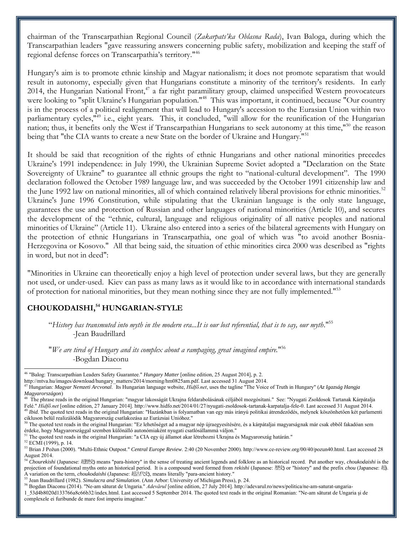chairman of the Transcarpathian Regional Council (*Zakarpats'ka Oblasna Rada*), Ivan Baloga, during which the Transcarpathian leaders "gave reassuring answers concerning public safety, mobilization and keeping the staff of regional defense forces on Transcarpathia's territory.<sup>1146</sup>

Hungary's aim is to promote ethnic kinship and Magyar nationalism; it does not promote separatism that would result in autonomy, especially given that Hungarians constitute a minority of the territory's residents. In early 2014, the Hungarian National Front,<sup>47</sup> a far right paramilitary group, claimed unspecified Western provocateurs were looking to "split Ukraine's Hungarian population."<sup>48</sup> This was important, it continued, because "Our country is in the process of a political realignment that will lead to Hungary's accession to the Eurasian Union within two parliamentary cycles,<sup>"49</sup> i.e., eight years. This, it concluded, "will allow for the reunification of the Hungarian nation; thus, it benefits only the West if Transcarpathian Hungarians to seek autonomy at this time,"<sup>50</sup> the reason being that "the CIA wants to create a new State on the border of Ukraine and Hungary."<sup>51</sup>

It should be said that recognition of the rights of ethnic Hungarians and other national minorities precedes Ukraine's 1991 independence: in July 1990, the Ukrainian Supreme Soviet adopted a "Declaration on the State Sovereignty of Ukraine" to guarantee all ethnic groups the right to "national-cultural development". The 1990 declaration followed the October 1989 language law, and was succeeded by the October 1991 citizenship law and the June 1992 law on national minorities, all of which contained relatively liberal provisions for ethnic minorities.<sup>52</sup> Ukraine's June 1996 Constitution, while stipulating that the Ukrainian language is the only state language, guarantees the use and protection of Russian and other languages of national minorities (Article 10), and secures the development of the "ethnic, cultural, language and religious originality of all native peoples and national minorities of Ukraine" (Article 11). Ukraine also entered into a series of the bilateral agreements with Hungary on the protection of ethnic Hungarians in Transcarpathia, one goal of which was "to avoid another Bosnia-Herzegovina or Kosovo." All that being said, the situation of ethic minorities circa 2000 was described as "rights in word, but not in deed":

"Minorities in Ukraine can theoretically enjoy a high level of protection under several laws, but they are generally not used, or under-used. Kiev can pass as many laws as it would like to in accordance with international standards of protection for national minorities, but they mean nothing since they are not fully implemented."<sup>53</sup>

# **CHOUKODAISHI,<sup>54</sup> HUNGARIAN-STYLE**

"*History has transmuted into myth in the modern era...It is our lost referential, that is to say, our myth*."<sup>55</sup> -Jean Baudrillard

"*We are tired of Hungary and its complex about a rampaging, great imagined empire.*" 56 -Bogdan Diaconu

<sup>51</sup> The quoted text reads in the original Hungarian: "a CIA egy új államot akar létrehozni Ukrajna és Magyarország határán."

<sup>46</sup> "Balog: Transcarpathian Leaders Safety Guarantee." *Hungary Matter* [online edition, 25 August 2014], p. 2.

http://mtva.hu/images/download/hungary\_matters/2014/morning/hm0825am.pdf. Last accessed 31 August 2014.

<sup>47</sup> Hungarian: *Magyar Nemzeti Arcvonal*. Its Hungarian language website, *Hídfő.net*, uses the tagline "The Voice of Truth in Hungary" (*Az Igazság Hangja Magyarországon*)

<sup>48</sup> The phrase reads in the original Hungarian: "magyar lakosságát Ukrajna feldarabolásának céljából mozgósítani." See: "Nyugati Zsoldosok Tartanak Kárpátalja Felé." *Hídfő.net* [online edition, 27 January 2014]. http://www.hidfo.net/2014/01/27/nyugati-zsoldosok-tartanak-karpatalja-fele-0. Last accessed 31 August 2014. <sup>49</sup> Ibid. The quoted text reads in the original Hungarian: "Hazánkban is folyamatban van egy más irányú politikai átrendeződés, melynek köszönhetően két parlamenti

cikluson belül realizálódik Magyarország csatlakozása az Eurázsiai Unióhoz."

<sup>50</sup> The quoted text reads in the original Hungarian: "Ez lehetőséget ad a magyar nép újraegyesítésére, és a kárpátaljai magyarságnak már csak ebből fakadóan sem érdeke, hogy Magyarországgal szemben különálló autonómiaként nyugati csatlósállammá váljon."

<sup>52</sup> ECMI (1999), p. 14.

<sup>53</sup> Brian J Požun (2000). "Multi-Ethnic Outpost." *Central Europe Review*. 2:40 (20 November 2000). http://www.ce-review.org/00/40/pozun40.html. Last accessed 28 August 2014.

<sup>54</sup> *Chourekishi* (Japanese: 超歴史) means "para-history" in the sense of treating ancient legends and folklore as an historical record. Put another way, *choukodaishi* is the projection of foundational myths onto an historical period. It is a compound word formed from *rekishi* (Japanese: 歴史) or "history" and the prefix *chou* (Japanese: 超). A variation on the term, *choukodaishi* (Japanese: 超古代史), means literally "para-ancient history."

<sup>55</sup> Jean Baudrillard (1982). *Simulacra and Simulation*. (Ann Arbor: University of Michigan Press), p. 24.

<sup>56</sup> Bogdan Diaconu (2014). "Ne-am săturat de Ungaria." *Adevărul* [online edition, 27 July 2014]. http://adevarul.ro/news/politica/ne-am-saturat-ungaria-

<sup>1</sup>\_53d4b8020d133766a8c66b32/index.html. Last accessed 5 September 2014. The quoted text reads in the original Romanian: "Ne-am săturat de Ungaria şi de complexele ei furibunde de mare fost imperiu imaginar."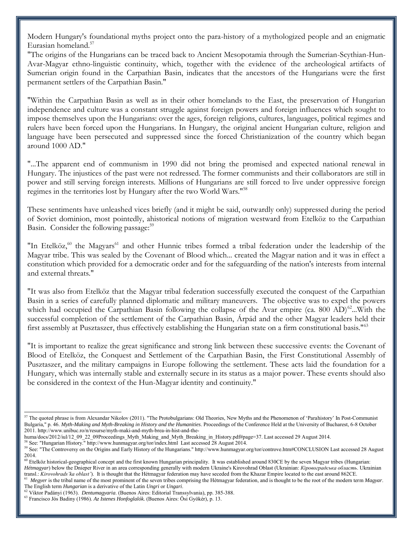Modern Hungary's foundational myths project onto the para-history of a mythologized people and an enigmatic Eurasian homeland.<sup>57</sup>

"The origins of the Hungarians can be traced back to Ancient Mesopotamia through the Sumerian-Scythian-Hun-Avar-Magyar ethno-linguistic continuity, which, together with the evidence of the archeological artifacts of Sumerian origin found in the Carpathian Basin, indicates that the ancestors of the Hungarians were the first permanent settlers of the Carpathian Basin."

"Within the Carpathian Basin as well as in their other homelands to the East, the preservation of Hungarian independence and culture was a constant struggle against foreign powers and foreign influences which sought to impose themselves upon the Hungarians: over the ages, foreign religions, cultures, languages, political regimes and rulers have been forced upon the Hungarians. In Hungary, the original ancient Hungarian culture, religion and language have been persecuted and suppressed since the forced Christianization of the country which began around 1000 AD."

"...The apparent end of communism in 1990 did not bring the promised and expected national renewal in Hungary. The injustices of the past were not redressed. The former communists and their collaborators are still in power and still serving foreign interests. Millions of Hungarians are still forced to live under oppressive foreign regimes in the territories lost by Hungary after the two World Wars."<sup>58</sup>

These sentiments have unleashed vices briefly (and it might be said, outwardly only) suppressed during the period of Soviet dominion, most pointedly, ahistorical notions of migration westward from Etelköz to the Carpathian Basin. Consider the following passage:<sup>59</sup>

"In Etelköz,<sup>60</sup> the Magyars<sup>61</sup> and other Hunnic tribes formed a tribal federation under the leadership of the Magyar tribe. This was sealed by the Covenant of Blood which... created the Magyar nation and it was in effect a constitution which provided for a democratic order and for the safeguarding of the nation's interests from internal and external threats."

"It was also from Etelköz that the Magyar tribal federation successfully executed the conquest of the Carpathian Basin in a series of carefully planned diplomatic and military maneuvers. The objective was to expel the powers which had occupied the Carpathian Basin following the collapse of the Avar empire (ca. 800 AD)<sup>62</sup>...With the successful completion of the settlement of the Carpathian Basin, Árpád and the other Magyar leaders held their first assembly at Pusztaszer, thus effectively establishing the Hungarian state on a firm constitutional basis."<sup>63</sup>

"It is important to realize the great significance and strong link between these successive events: the Covenant of Blood of Etelköz, the Conquest and Settlement of the Carpathian Basin, the First Constitutional Assembly of Pusztaszer, and the military campaigns in Europe following the settlement. These acts laid the foundation for a Hungary, which was internally stable and externally secure in its status as a major power. These events should also be considered in the context of the Hun-Magyar identity and continuity."

 $57$  The quoted phrase is from Alexandar Nikolov (2011). "The Protobulgarians: Old Theories, New Myths and the Phenomenon of 'Parahistory' In Post-Communist Bulgaria," p. 46. *Myth-Making and Myth-Breaking in History and the Humanities*. Proceedings of the Conference Held at the University of Bucharest, 6-8 October 2011. http://www.unibuc.ro/n/resurse/myth-maki-and-myth-brea-in-hist-and-the-

huma/docs/2012/iul/12\_09\_22\_09Proceedings\_Myth\_Making\_and\_Myth\_Breaking\_in\_History.pdf#page=37. Last accessed 29 August 2014.

<sup>&</sup>lt;sup>58</sup> See: "Hungarian History." http://www.hunmagyar.org/tor/index.html Last accessed 28 August 2014.

<sup>59</sup> See: "The Controversy on the Origins and Early History of the Hungarians." http://www.hunmagyar.org/tor/controve.htm#CONCLUSION Last accessed 28 August 2014.

<sup>&</sup>lt;sup>60</sup> Etelköz historical-geographical concept and the first known Hungarian principality. It was established around 830CE by the seven Magyar tribes (Hungarian: *Hétmagyar*) below the Dnieper River in an area corresponding generally with modern Ukraine's Kirovohrad Oblast (Ukrainian: *Кіровоградська область*. Ukrainian transl.: *Kirovohrads'ka oblast'*). It is thought that the Hétmagyar federation may have seceded from the Khazar Empire located to the east around 862CE.

<sup>&</sup>lt;sup>61</sup> Megyer is the tribal name of the most prominent of the seven tribes comprising the Hétmagyar federation, and is thought to be the root of the modern term *Magyar*. The English term *Hungarian* is a derivative of the Latin *Ungri* or *Ungari*.

<sup>62</sup> Viktor Padányi (1963). *Dentumagyaria*. (Buenos Aires: Editorial Transsylvania), pp. 385-388.

<sup>63</sup> Francisco Jós Badiny (1986). *Az Istenes Honfoglalók.* (Buenos Aires: Ösi Gyökér), p. 13.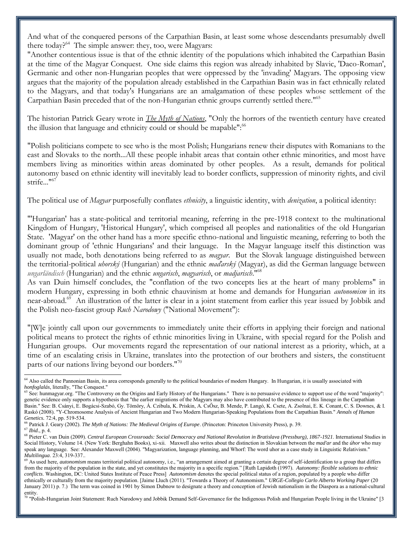And what of the conquered persons of the Carpathian Basin, at least some whose descendants presumably dwell there today?<sup>64</sup> The simple answer: they, too, were Magyars:

"Another contentious issue is that of the ethnic identity of the populations which inhabited the Carpathian Basin at the time of the Magyar Conquest. One side claims this region was already inhabited by Slavic, 'Daco-Roman', Germanic and other non-Hungarian peoples that were oppressed by the 'invading' Magyars. The opposing view argues that the majority of the population already established in the Carpathian Basin was in fact ethnically related to the Magyars, and that today's Hungarians are an amalgamation of these peoples whose settlement of the Carpathian Basin preceded that of the non-Hungarian ethnic groups currently settled there."<sup>65</sup>

The historian Patrick Geary wrote in *The Myth of Nations*, "Only the horrors of the twentieth century have created the illusion that language and ethnicity could or should be mapable":<sup>66</sup>

"Polish politicians compete to see who is the most Polish; Hungarians renew their disputes with Romanians to the east and Slovaks to the north...All these people inhabit areas that contain other ethnic minorities, and most have members living as minorities within areas dominated by other peoples. As a result, demands for political autonomy based on ethnic identity will inevitably lead to border conflicts, suppression of minority rights, and civil strife..."<sup>67</sup>

The political use of *Magyar* purposefully conflates *ethnicity*, a linguistic identity, with *denization*, a political identity:

"'Hungarian' has a state-political and territorial meaning, referring in the pre-1918 context to the multinational Kingdom of Hungary, 'Historical Hungary', which comprised all peoples and nationalities of the old Hungarian State. 'Magyar' on the other hand has a more specific ethno-national and linguistic meaning, referring to both the dominant group of 'ethnic Hungarians' and their language. In the Magyar language itself this distinction was usually not made, both denotations being referred to as *magyar*. But the Slovak language distinguished between the territorial-political *uhorský* (Hungarian) and the ethnic *maďarský* (Magyar), as did the German language between *ungarländisch* (Hungarian) and the ethnic *ungarisch*, *magyarisch*, or *madjarisch*."<sup>68</sup>

As van Duin himself concludes, the "conflation of the two concepts lies at the heart of many problems" in modern Hungary, expressing in both ethnic chauvinism at home and demands for Hungarian *autonomism* in its near-abroad.<sup>69</sup> An illustration of the latter is clear in a joint statement from earlier this year issued by Jobbik and the Polish neo-fascist group *Ruch Narodowy* ("National Movement"):

"[W]e jointly call upon our governments to immediately unite their efforts in applying their foreign and national political means to protect the rights of ethnic minorities living in Ukraine, with special regard for the Polish and Hungarian groups. Our movements regard the representation of our national interest as a priority, which, at a time of an escalating crisis in Ukraine, translates into the protection of our brothers and sisters, the constituent parts of our nations living beyond our borders."<sup>70</sup>

<sup>&</sup>lt;sup>64</sup> Also called the Pannonian Basin, its area corresponds generally to the political boundaries of modern Hungary. In Hungarian, it is usually associated with *honfoglalás*, literally, "The Conquest."

<sup>&</sup>lt;sup>65</sup> See: hunmagyar.org. "The Controversy on the Origins and Early History of the Hungarians." There is no persuasive evidence to support use of the word "majority": genetic evidence only supports a hypothesis that "the earlier migrations of the Magyars may also have contributed to the presence of this lineage in the Carpathian Basin." See: B. Csányi, E. Bogácsi-Szabó, Gy. Tömöry, Á. Czibula, K. Priskin, A. CsŐsz, B. Mende, P. Langó, K. Csete, A. Zsolnai, E. K. Conant, C. S. Downes, & I. Raskó (2008). "Y-Chromosome Analysis of Ancient Hungarian and Two Modern Hungarian-Speaking Populations from the Carpathian Basin." *Annals of Human Genetics.* 72:4, pp. 519-534.

<sup>66</sup> Patrick J. Geary (2002). *The Myth of Nations: The Medieval Origins of Europe*. (Princeton: Princeton University Press), p. 39. <sup>67</sup> *Ibid.*, p. 4.

<sup>68</sup> Pieter C. van Duin (2009). *Central European Crossroads: Social Democracy and National Revolution in Bratislava (Pressburg), 1867-1921*. International Studies in Social History, Volume 14. (New York: Berghahn Books), xi-xii. Maxwell also writes about the distinction in Slovakian between the *mad'ar* and the *úhor* who may speak any language. See: Alexander Maxwell (2004). "Magyarization, language planning, and Whorf: The word uhor as a case study in Linguistic Relativism." *Multilingua*. 23:4, 319-337..

<sup>&</sup>lt;sup>69</sup> As used here, *autonomism* means territorial political autonomy, i.e., "an arrangement aimed at granting a certain degree of self-identification to a group that differs from the majority of the population in the state, and yet constitutes the majority in a specific region." [Ruth Lapidoth (1997). *Autonomy: flexible solutions to ethnic conflicts*. Washington, DC: United States Institute of Peace Press] *Autonomism* denotes the special political status of a region, populated by a people who differ ethnically or culturally from the majority population. [Jaime Lluch (2011). "Towards a Theory of Autonomism." *URGE-Collegio Carlo Alberto Working Paper* (20 January 2011) p. 7.) The term was coined in 1901 by Simon Dubnow to designate a theory and conception of Jewish nationalism in the Diaspora as a national-cultural entity.

<sup>70</sup> "Polish-Hungarian Joint Statement: Ruch Narodowy and Jobbik Demand Self-Governance for the Indigenous Polish and Hungarian People living in the Ukraine" [3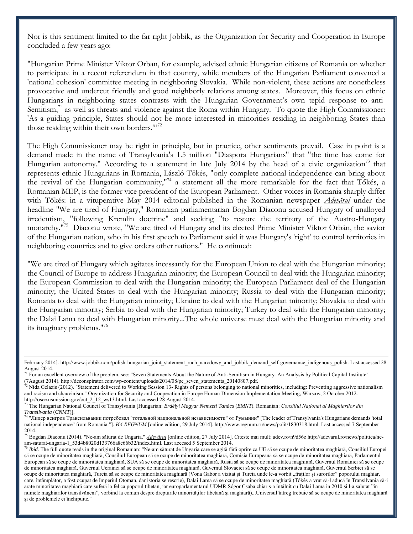Nor is this sentiment limited to the far right Jobbik, as the Organization for Security and Cooperation in Europe concluded a few years ago:

"Hungarian Prime Minister Viktor Orban, for example, advised ethnic Hungarian citizens of Romania on whether to participate in a recent referendum in that country, while members of the Hungarian Parliament convened a 'national cohesion' committee meeting in neighboring Slovakia. While non-violent, these actions are nonetheless provocative and undercut friendly and good neighborly relations among states. Moreover, this focus on ethnic Hungarians in neighboring states contrasts with the Hungarian Government's own tepid response to anti-Semitism, $^{71}$  as well as threats and violence against the Roma within Hungary. To quote the High Commissioner: 'As a guiding principle, States should not be more interested in minorities residing in neighboring States than those residing within their own borders."<sup>72</sup>

The High Commissioner may be right in principle, but in practice, other sentiments prevail. Case in point is a demand made in the name of Transylvania's 1.5 million "Diaspora Hungarians" that "the time has come for Hungarian autonomy." According to a statement in late July 2014 by the head of a civic organization<sup>73</sup> that represents ethnic Hungarians in Romania, László Tőkés, "only complete national independence can bring about the revival of the Hungarian community,"<sup>74</sup> a statement all the more remarkable for the fact that Tőkés, a Romanian MEP, is the former vice president of the European Parliament. Other voices in Romania sharply differ with Tőkés: in a vituperative May 2014 editorial published in the Romanian newspaper *Adevărul* under the headline "We are tired of Hungary," Romanian parliamentarian Bogdan Diaconu accused Hungary of unalloyed irredentism, "following Kremlin doctrine" and seeking "to restore the territory of the Austro-Hungary monarchy."<sup>75</sup> Diaconu wrote, "We are tired of Hungary and its elected Prime Minister Viktor Orbán, the savior of the Hungarian nation, who in his first speech to Parliament said it was Hungary's 'right' to control territories in neighboring countries and to give orders other nations." He continued:

"We are tired of Hungary which agitates incessantly for the European Union to deal with the Hungarian minority; the Council of Europe to address Hungarian minority; the European Council to deal with the Hungarian minority; the European Commission to deal with the Hungarian minority; the European Parliament deal of the Hungarian minority; the United States to deal with the Hungarian minority; Russia to deal with the Hungarian minority; Romania to deal with the Hungarian minority; Ukraine to deal with the Hungarian minority; Slovakia to deal with the Hungarian minority; Serbia to deal with the Hungarian minority; Turkey to deal with the Hungarian minority; the Dalai Lama to deal with Hungarian minority...The whole universe must deal with the Hungarian minority and its imaginary problems."<sup>76</sup>

February 2014]. http://www.jobbik.com/polish-hungarian\_joint\_statement\_ruch\_narodowy\_and\_jobbik\_demand\_self-governance\_indigenous\_polish. Last accessed 28 August 2014.

<sup>&</sup>lt;sup>71</sup> For an excellent overview of the problem, see: "Seven Statements About the Nature of Anti-Semitism in Hungary. An Analysis by Political Capital Institute" (7August 2014). http://deconspirator.com/wp-content/uploads/2014/08/pc\_seven\_statements\_20140807.pdf.

 $^{72}$  Nida Gelazis (2012). "Statement delivered to Working Session 13- Rights of persons belonging to national minorities, including: Preventing aggressive nationalism and racism and chauvinism." Organization for Security and Cooperation in Europe Human Dimension Implementation Meeting, Warsaw, 2 October 2012. http://osce.usmission.gov/oct\_2\_12\_ws13.html. Last accessed 28 August 2014.

<sup>73</sup> The Hungarian National Council of Transylvania [Hungarian: *Erdélyi Magyar Nemzeti Tanács* (*EMNT*). Romanian: *Consiliul Național al Maghiarilor din Transilvania* (*CNMT*)].

<sup>&</sup>lt;sup>74</sup> "Лидер венгров Трансильвании потребовал "тотальной национальной независимости" от Румынии" [The leader of Transylvania's Hungarians demands 'total national independence" from Romania."]. *IIA REGNUM* [online edition, 29 July 2014]. http://www.regnum.ru/news/polit/1830318.html. Last accessed 7 September 2014.

<sup>75</sup> Bogdan Diaconu (2014). "Ne-am săturat de Ungaria." *Adevărul* [online edition, 27 July 2014]. Citeste mai mult: adev.ro/n9d56z http://adevarul.ro/news/politica/neam-saturat-ungaria-1\_53d4b8020d133766a8c66b32/index.html. Last accesed 5 September 2014.

<sup>&</sup>lt;sup>76</sup> Ibid. The full quote reads in the original Romanian: "Ne-am săturat de Ungaria care se agită fără oprire ca UE să se ocupe de minoritatea maghiară, Consiliul Europei să se ocupe de minoritatea maghiară, Consiliul European să se ocupe de minoritatea maghiară, Comisia Europeană să se ocupe de minoritatea maghiară, Parlamentul European să se ocupe de minoritatea maghiară, SUA să se ocupe de minoritatea maghiară, Rusia să se ocupe de minoritatea maghiară, Guvernul României să se ocupe de minoritatea maghiară, Guvernul Ucrainei să se ocupe de minoritatea maghiară, Guvernul Slovaciei să se ocupe de minoritatea maghiară, Guvernul Serbiei să se ocupe de minoritatea maghiară, Turcia să se ocupe de minoritatea maghiară (Vona Gabor a vizitat și Turcia unde le-a vorbit "fraților și surorilor" poporului maghiar, care, întâmplător, a fost ocupat de Imperiul Otoman, dar istoria se rescrie), Dalai Lama să se ocupe de minoritatea maghiară (Tőkés a vrut să-l aducă în Transilvania să-i arate minoritatea maghiară care suferă la fel ca poporul tibetan, iar europarlamentarul UDMR Sógor Csaba chiar s-a întâlnit cu Dalai Lama în 2010 și l-a salutat "în numele maghiarilor transilvăneni", vorbind la comun despre drepturile minorităţilor tibetană şi maghiară)...Universul întreg trebuie să se ocupe de minoritatea maghiară şi de problemele ei închipuite."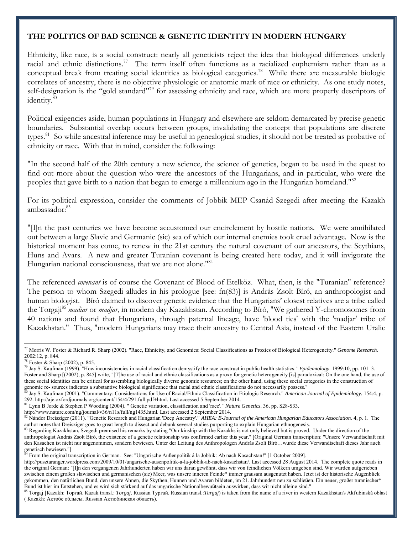## **THE POLITICS OF BAD SCIENCE & GENETIC IDENTITY IN MODERN HUNGARY**

Ethnicity, like race, is a social construct: nearly all geneticists reject the idea that biological differences underly racial and ethnic distinctions.<sup>77</sup> The term itself often functions as a racialized euphemism rather than as a conceptual break from treating social identities as biological categories.<sup>78</sup> While there are measurable biologic correlates of ancestry, there is no objective physiologic or anatomic mark of race or ethnicity. As one study notes, self-designation is the "gold standard"<sup>79</sup> for assessing ethnicity and race, which are more properly descriptors of identity.<sup>80</sup>

Political exigencies aside, human populations in Hungary and elsewhere are seldom demarcated by precise genetic boundaries. Substantial overlap occurs between groups, invalidating the concept that populations are discrete types.<sup>81</sup> So while ancestral inference may be useful in genealogical studies, it should not be treated as probative of ethnicity or race. With that in mind, consider the following:

"In the second half of the 20th century a new science, the science of genetics, began to be used in the quest to find out more about the question who were the ancestors of the Hungarians, and in particular, who were the peoples that gave birth to a nation that began to emerge a millennium ago in the Hungarian homeland."<sup>82</sup>

<span id="page-10-0"></span>For its political expression, consider the comments of Jobbik MEP Csanád Szegedi after meeting the Kazakh ambassador:<sup>83</sup>

"[I]n the past centuries we have become accustomed our encirclement by hostile nations. We were annihilated out between a large Slavic and Germanic (sic) sea of which our internal enemies took cruel advantage. Now is the historical moment has come, to renew in the 21st century the natural covenant of our ancestors, the Scythians, Huns and Avars. A new and greater Turanian covenant is being created here today, and it will invigorate the Hungarian national consciousness, that we are not alone.<sup>184</sup>

The referenced *covenant* is of course the Covenant of Blood of Etelköz. What, then, is the "Turanian" reference? The person to whom Szegedi alludes in his prologue [see: fn[\(83\)](#page-10-0)] is András Zsolt Bíró, an anthropologist and human biologist. Bíró claimed to discover genetic evidence that the Hungarians' closest relatives are a tribe called the Torgaji<sup>85</sup> *madiar* or *madjar*, in modern day Kazakhstan. According to Bíró, "We gathered Y-chromosomes from 40 nations and found that Hungarians, through paternal lineage, have 'blood ties' with the 'madjar' tribe of Kazakhstan." Thus, "modern Hungarians may trace their ancestry to Central Asia, instead of the Eastern Uralic

<sup>77</sup> Morris W. Foster & Richard R. Sharp (2002). "Race, Ethnicity, and Genomics: Social Classifications as Proxies of Biological Heterogeneity." *Genome Research*. 2002:12, p. 844.

<sup>78</sup> Foster & Sharp (2002), p. 845.

<sup>79</sup> Jay S. Kaufman (1999). "How inconsistencies in racial classification demystify the race construct in public health statistics." *Epidemiology*. 1999:10, pp. 101–3. Foster and Sharp [(2002), p. 845] write, "[T]he use of racial and ethnic classifications as a proxy for genetic heterogeneity [is] paradoxical: On the one hand, the use of these social identities can be critical for assembling biologically diverse genomic resources; on the other hand, using these social categories in the construction of genomic re- sources indicates a substantive biological significance that racial and ethnic classifications do not necessarily possess."

<sup>80</sup> Jay S. Kaufman (2001). "Commentary: Considerations for Use of Racial/Ethnic Classification in Etiologic Research." *American Journal of Epidemiology.* 154:4, p. 292. http://aje.oxfordjournals.org/content/154/4/291.full.pdf+html. Last accessed 5 September 2014.

<sup>81</sup> Lynn B Jorde & Stephen P Wooding (2004). " Genetic variation, classification and 'race'." *Nature Genetics*. 36, pp. S28-S33.

http://www.nature.com/ng/journal/v36/n11s/full/ng1435.html. Last accessed 2 September 2014.

<sup>82</sup> Nándor Dreisziger (2011). "Genetic Research and Hungarian 'Deep Ancestry'." *AHEA: E-Journal of the American Hungarian Educators Association*. 4, p. 1. The author notes that Dreisziger goes to great length to dissect and debunk several studies purporting to explain Hungarian ethnogenesis.

<sup>83</sup> Regarding Kazakhstan, Szegedi premised his remarks by stating "Our kinship with the Kazakhs is not only believed but is proved. Under the direction of the anthropologist András Zsolt Bíró, the existence of a genetic relationship was confirmed earlier this year." [Original German transcription: "Unsere Verwandtschaft mit den Kasachen ist nicht nur angenommen, sondern bewiesen. Unter der Leitung des Anthropologen András Zsolt Bíró…wurde diese Verwandtschaft dieses Jahr auch genetisch bewiesen."]

<sup>&</sup>lt;sup>84</sup> From the original transcription in German. See: "Ungarische Außenpolitik á la Jobbik: Ab nach Kasachstan!" [1 October 2009].

http://pusztaranger.wordpress.com/2009/10/01/ungarische-ausenpolitik-a-la-jobbik-ab-nach-kasachstan/. Last accessed 28 August 2014. The complete quote reads in the original German: "[I]n den vergangenen Jahrhunderten haben wir uns daran gewöhnt, dass wir von feindlichen Völkern umgeben sind. Wir wurden aufgerieben zwischen einem großen slawischen und germanischen (sic) Meer, was unsere inneren Feinde\* immer grausam ausgenutzt haben. Jetzt ist der historische Augenblick gekommen, den natürlichen Bund, den unsere Ahnen, die Skythen, Hunnen und Avaren bildeten, im 21. Jahrhundert neu zu schließen. Ein neuer, großer turanischer\* Bund ist hier im Entstehen, und es wird sich stärkend auf das ungarische Nationalbewußtsein auswirken, dass wir nicht alleine sind."

Torgaj [Kazakh: Topғай. Kazak transl.: Torgaj. Russian Typraй. Russian transl.:Turgaj) is taken from the name of a river in western Kazakhstan's Akťubinská oblast ( Kazakh: Ақтөбе облысы. Russian Актюбинская область).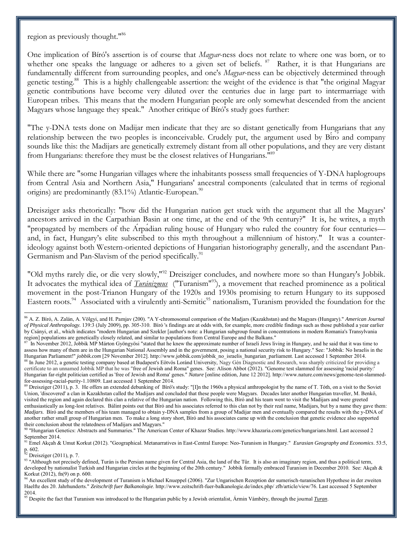region as previously thought."<sup>86</sup>

One implication of Bíró's assertion is of course that *Magyar*-ness does not relate to where one was born, or to whether one speaks the language or adheres to a given set of beliefs. <sup>87</sup> Rather, it is that Hungarians are fundamentally different from surrounding peoples, and one's *Magyar*-ness can be objectively determined through genetic testing.<sup>88</sup> This is a highly challengeable assertion: the weight of the evidence is that "the original Magyar genetic contributions have become very diluted over the centuries due in large part to intermarriage with European tribes. This means that the modern Hungarian people are only somewhat descended from the ancient Magyars whose language they speak." Another critique of Bíró's study goes further:

"The y-DNA tests done on Madijar men indicate that they are so distant genetically from Hungarians that any relationship between the two peoples is inconceivable. Crudely put, the argument used by Biro and company sounds like this: the Madijars are genetically extremely distant from all other populations, and they are very distant from Hungarians: therefore they must be the closest relatives of Hungarians."<sup>89</sup>

While there are "some Hungarian villages where the inhabitants possess small frequencies of Y-DNA haplogroups from Central Asia and Northern Asia," Hungarians' ancestral components (calculated that in terms of regional origins) are predominantly  $(83.1\%)$  Atlantic-European.<sup>90</sup>

Dreisziger asks rhetorically: "how did the Hungarian nation get stuck with the argument that all the Magyars' ancestors arrived in the Carpathian Basin at one time, at the end of the 9th century?" It is, he writes, a myth "propagated by members of the Arpadian ruling house of Hungary who ruled the country for four centuries and, in fact, Hungary's elite subscribed to this myth throughout a millennium of history." It was a counterideology against both Western-oriented depictions of Hungarian historiography generally, and the ascendant Pan-Germanism and Pan-Slavism of the period specifically.<sup>91</sup>

"Old myths rarely die, or die very slowly,"<sup>92</sup> Dreisziger concludes, and nowhere more so than Hungary's Jobbik. It advocates the mythical idea of *Turánizmus* ("Turanism"<sup>93</sup>), a movement that reached prominence as a political movement in the post-Trianon Hungary of the 1920s and 1930s promising to return Hungary to its supposed Eastern roots.<sup>94</sup> Associated with a virulently anti-Semitic<sup>95</sup> nationalism, Turanism provided the foundation for the

 $92$  Dreisziger (2011), p. 7.

<sup>86</sup> A. Z. Bíró, A. Zalán, A. Völgyi, and H. Pamjav (200). "A Y-chromosomal comparison of the Madjars (Kazakhstan) and the Magyars (Hungary)." *American Journal of Physical Anthropology.* 139:3 (July 2009), pp. 305-310. Bíró 's findings are at odds with, for example, more credible findings such as those published a year earlier by Csányi, et al., which indicates "modern Hungarian and Szekler [author's note: a Hungarian subgroup found in concentrations in modern Romania's Transylvania region] populations are genetically closely related, and similar to populations from Central Europe and the Balkans."

 $87$  In November 2012, Jobbik MP Márton Gyöngyösi "stated that he knew the approximate number of Israeli Jews living in Hungary, and he said that it was time to assess how many of them are in the Hungarian National Assembly and in the government, posing a national security risk to Hungary." See: "Jobbik: No Israelis in the Hungarian Parliament!" *jobbik.com* [29 November 2012]. http://www.jobbik.com/jobbik\_no\_israelis\_hungarian\_parliament. Last accessed 1 September 2014. 88 In June 2012, a genetic testing company based at Budapest's Eötvös Loránd University, Nagy Gén Diagnostic and Research, was sharply criticized for providing a certificate to an unnamed Jobbik MP that he was "free of Jewish and Roma" genes. See: Alison Abbot (2012). "Genome test slammed for assessing 'racial purity:' Hungarian far-right politician certified as 'free of Jewish and Roma' genes." *Nature* [online edition, June 12 2012]. http://www.nature.com/news/genome-test-slammedfor-assessing-racial-purity-1.10809. Last accessed 1 September 2014.

<sup>&</sup>lt;sup>89</sup> Dreisziger (2011), p. 3. He offers an extended debunking of Bíró's study: "[I]n the 1960s a physical anthropologist by the name of T. Tóth, on a visit to the Soviet Union, 'discovered' a clan in Kazakhstan called the Madijars and concluded that these people were Magyars. Decades later another Hungarian traveller, M. Benkő, visited the region and again declared this clan a relative of the Hungarian nation. Following this, Bíró and his team went to visit the Madijars and were greeted enthusiastically as long-lost relatives. Bálint points out that Bíró and his associates referred to this clan not by their real name, Madijars, but by a name they gave them: *Madjars*. Bíró and the members of his team managed to obtain y-DNA samples from a group of Madijar men and eventually compared the results with the y-DNA of another rather small group of Hungarian men. To make a long story short, Bíró and his associates came up with the conclusion that genetic evidence also supported their conclusion about the relatedness of Madijars and Magyars."

<sup>90</sup> "Hungarian Genetics: Abstracts and Summaries." The American Center of Khazar Studies. http://www.khazaria.com/genetics/hungarians.html. Last accessed 2 September 2014.

<sup>91</sup> Emel Akçah & Umut Korkut (2012). "Geographical. Metanarratives in East-Central Europe: Neo-Turanism in Hungary." *Eurasian Geography and Economics*. 53:5, p. 602.

<sup>93 &</sup>quot;Although not precisely defined, Turán is the Persian name given for Central Asia, the land of the Tûr. It is also an imaginary region, and thus a political term, developed by nationalist Turkish and Hungarian circles at the beginning of the 20th century." Jobbik formally embraced Turanism in December 2010. See: Akçah & Korkut (2012), fn(9) on p. 600.

<sup>&</sup>lt;sup>94</sup> An excellent study of the development of Turanism is Michael Knueppel (2006). "Zur Ungarischen Rezeption der sumerisch-turanischen Hypothese in der zweiten Haelfte des 20. Jahrhunderts." *Zeitschrift fuer Balkanologie*. http://www.zeitschrift-fuer-balkanologie.de/index.php/ zfb/article/view/76. Last accessed 5 September 2014.

<sup>95</sup> Despite the fact that Turanism was introduced to the Hungarian public by a Jewish orientalist, Ármin Vámbéry, through the journal *Turan*.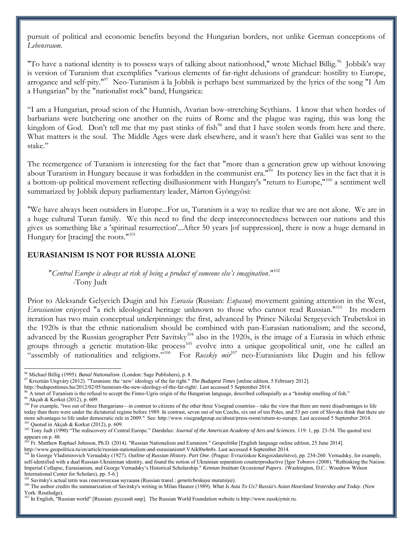pursuit of political and economic benefits beyond the Hungarian borders, not unlike German conceptions of *Lebensraum*.

"To have a national identity is to possess ways of talking about nationhood," wrote Michael Billig.<sup>96</sup> Jobbik's way is version of Turanism that exemplifies "various elements of far-right delusions of grandeur: hostility to Europe, arrogance and self-pity."<sup>97</sup> Neo-Turanism à la Jobbik is perhaps best summarized by the lyrics of the song "I Am a Hungarian" by the "nationalist rock" band, Hungarica:

"I am a Hungarian, proud scion of the Hunnish, Avarian bow-stretching Scythians. I know that when hordes of barbarians were butchering one another on the ruins of Rome and the plague was raging, this was long the kingdom of God. Don't tell me that my past stinks of fish<sup>98</sup> and that I have stolen words from here and there. What matters is the soul. The Middle Ages were dark elsewhere, and it wasn't here that Galilei was sent to the stake."

The reemergence of Turanism is interesting for the fact that "more than a generation grew up without knowing about Turanism in Hungary because it was forbidden in the communist era."<sup>99</sup> Its potency lies in the fact that it is a bottom-up political movement reflecting disillusionment with Hungary's "return to Europe,"<sup>100</sup> a sentiment well summarized by Jobbik deputy parliamentary leader, Márton Gyöngyösi:

"We have always been outsiders in Europe...For us, Turanism is a way to realize that we are not alone. We are in a huge cultural Turan family. We this need to find the deep interconnectedness between our nations and this gives us something like a 'spiritual resurrection'...After 50 years [of suppression], there is now a huge demand in Hungary for [tracing] the roots."<sup>101</sup>

### **EURASIANISM IS NOT FOR RUSSIA ALONE**

"Central Europe is always at risk of being a product of someone else's imagination."<sup>102</sup> -Tony Judt

Prior to Aleksandr Gelyevich Dugin and his *Eurasia* (Russian: *Евразия*) movement gaining attention in the West, Eurasianism enjoyed "a rich ideological heritage unknown to those who cannot read Russian."<sup>103</sup> Its modern iteration has two main conceptual underpinnings: the first, advanced by Prince Nikolai Sergeyevich Trubetskoi in the 1920s is that the ethnic nationalism should be combined with pan-Eurasian nationalism; and the second, advanced by the Russian geographer Petr Savitsky<sup>104</sup> also in the 1920s, is the image of a Eurasia in which ethnic groups through a genetic mutation-like process<sup>105</sup> evolve into a unique geopolitical unit, one he called an "assembly of nationalities and religions."<sup>106</sup> For *Russkiy mir*<sup>107</sup> neo-Eurasianists like Dugin and his fellow

http://budapesttimes.hu/2012/02/05/turanism-the-new-ideology-of-the-far-right/. Last accessed 5 September 2014.

<sup>96</sup> Michael Billig (1995). *Banal Nationalism*. (London: Sage Publishers), p. 8.

<sup>97</sup> risztián Ungváry (2012). "Turanism: the 'new' ideology of the far right." *The Budapest Times* [online edition, 5 February 2012].

<sup>&</sup>lt;sup>98</sup> A tenet of Turanism is the refusal to accept the Finno-Ugris origin of the Hungarian language, described colloquially as a "kinship smelling of fish."

<sup>99</sup> Akçah & Korkut (2012), p. 609. <sup>100</sup> For example, "two out of three Hungarians—in contrast to citizens of the other three Visegrad countries—take the view that there are more disadvantages to life today than there were under the dictatorial regime before 1989. In contrast, seven out of ten Czechs, six out of ten Poles, and 53 per cent of Slovaks think that there are more advantages to life under democratic rule in 2009." See: http://www.visegradgroup.eu/about/press-room/return-to-europe. Last accessed 5 September 2014.

Quoted in Akçah & Korkut (2012), p. 609.

<sup>102</sup> Tony Judt (1990) "The rediscovery of Central Europe." *Daedalus: Journal of the American Academy of Arts and Sciences*. 119: 1, pp. 23-54. The quoted text appears on p. 48.

<sup>103</sup> Fr. Matthew Raphael Johnson, Ph.D. (2014). "Russian Nationalism and Euranism." *Geopolitika* [English language online edition, 25 June 2014]. http://www.geopolitica.ru/en/article/russian-nationalism-and-eurasianism#.VAikl0u4n8s. Last accessed 4 September 2014.

<sup>&</sup>lt;sup>104</sup> In George Vladimirovich Vernadsky (1927). *Outline of Russian History. Part One*. (Prague: Evraziiskoe Knigoizdatelstvo), pp. 234-260. Vernadsky, for example, self-identified with a dual Russian-Ukraininan identity, and found the notion of Ukrainian separatism counterproductive [Igor Toborov (2008). "Rethinking the Nation: Imperial Collapse, Eurasianism, and George Vernadsky's Historical Scholarship." *Kennan Institute Occasional Papers*. (Washington, D.C.: Woodrow Wilson International Center for Scholars), pp. 5-6.]

<sup>105</sup> Savitsky's actual term was генетическая мутация (Russian transl.: *geneticheskaya mutatsiya*).

<sup>&</sup>lt;sup>106</sup> The author credits the summarization of Savitsky's writing in Milan Hauner (1989). *What Is Asia To Us? Russia's Asian Heartland Yesterday and Today*. (New York: Routledge).

<sup>&</sup>lt;sup>107</sup> In English, "Russian world" [Russian: русский мир]. The Russian World Foundation website is http://www.russkiymir.ru.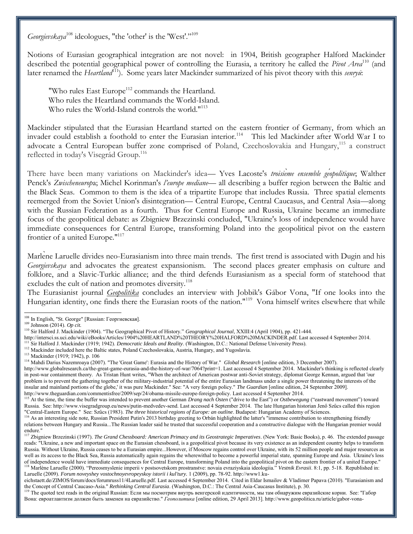*Georgievskaya*<sup>108</sup> ideologues, "the 'other' is the 'West'."<sup>109</sup>

Notions of Eurasian geographical integration are not novel: in 1904, British geographer Halford Mackinder described the potential geographical power of controlling the Eurasia, a territory he called the *Pivot Area*<sup>110</sup> (and later renamed the *Heartland*<sup>111</sup>). Some years later Mackinder summarized of his pivot theory with this *senryū*:

"Who rules East Europe<sup>112</sup> commands the Heartland. Who rules the Heartland commands the World-Island. Who rules the World-Island controls the world."<sup>113</sup>

Mackinder stipulated that the Eurasian Heartland started on the eastern frontier of Germany, from which an invader could establish a foothold to enter the Eurasian interior.<sup>114</sup> This led Mackinder after World War I to advocate a Central European buffer zone comprised of Poland, Czechoslovakia and Hungary,<sup>115</sup> a construct reflected in today's Visegrád Group.<sup>116</sup>

There have been many variations on Mackinder's idea— Yves Lacoste's troisieme ensemble geopolitique; Walther Penck's *Zwischeneurop*a; Michel Korinman's *l'europe mediane*— all describing a buffer region between the Baltic and the Black Seas. Common to them is the idea of a tripartite Europe that includes Russia. Three spatial elements reemerged from the Soviet Union's disintegration— Central Europe, Central Caucasus, and Central Asia—along with the Russian Federation as a fourth. Thus for Central Europe and Russia, Ukraine became an immediate focus of the geopolitical debate: as Zbigniew Brzezinski concluded, "Ukraine's loss of independence would have immediate consequences for Central Europe, transforming Poland into the geopolitical pivot on the eastern frontier of a united Europe."<sup>117</sup>

Marlene Laruelle divides neo-Eurasianism into three main trends. The first trend is associated with Dugin and his *Georgievskaya* and advocates the greatest expansionism. The second places greater emphasis on culture and folklore, and a Slavic-Turkic alliance; and the third defends Eurasianism as a special form of statehood that excludes the cult of nation and promotes diversity.<sup>118</sup>

The Eurasianist journal *Geopolitika* concludes an interview with Jobbik's Gábor Vona, "If one looks into the Hungarian identity, one finds there the Eurasian roots of the nation."<sup>119</sup> Vona himself writes elsewhere that while

 $\overline{\phantom{a}}$ 

http://intersci.ss.uci.edu/wiki/eBooks/Articles/1904%20HEARTLAND%20THEORY%20HALFORD%20MACKINDER.pdf. Last accessed 4 September 2014.

http://www.theguardian.com/commentisfree/2009/sep/24/obama-missile-europe-foreign-policy. Last accessed 4 September 2014.

 $108$  In English, "St. George" [Russian: Георгиевская].

<sup>109</sup> Johnson (2014). *Op cit.*

<sup>110</sup> Sir Halford J. Mackinder (1 04). "The Geographical Pivot of History." *Geographical Journal*, XXIII:4 (April 1904), pp. 421-444.

<sup>111</sup> Sir Halford J. Mackinder (1919; 1942). *Democratic Ideals and Reality*. (Washington, D.C.: National Defense University Press).

<sup>&</sup>lt;sup>112</sup> Mackinder included here the Baltic states, Poland Czechoslovakia, Austria, Hungary, and Yugoslavia.

<sup>113</sup> Mackinder (1919; 1942), p. 106

<sup>114</sup> Mahdi Darius Nazemroaya (2007). "The 'Great Game': Eurasia and the History of War." *Global Research* [online edition, 3 December 2007).

http://www.globalresearch.ca/the-great-game-eurasia-and-the-history-of-war/7064?print=1. Last accessed 4 September 2014. Mackinder's thinking is reflected clearly in post-war containment theory. As Tristan Hunt writes, "When the architect of American postwar anti-Soviet strategy, diplomat George Kennan, argued that 'our problem is to prevent the gathering together of the military-industrial potential of the entire Eurasian landmass under a single power threatening the interests of the insular and mainland portions of the globe,' it was pure Mackinder." See: "A very foreign policy." *The Guardian* [online edition, 24 September 2009].

<sup>115</sup> At the time, the time the buffer was intended to prevent another German *Drang nach Osten* ("drive to the East") or *Ostbewegung* ("eastward movement") toward Russia. See: http://www.visegradgroup.eu/news/putin-medvedev-send. Last accessed 4 September 2014. The late Hungarian historian Jenő Szűcs called this region "Central-Eastern Europe." See: Szűcs (1983). The three historical regions of Europe: an outline. Budapest: Hungarian Academy of Sciences.

<sup>&</sup>lt;sup>116</sup> As an interesting side note, Russian President Putin's 2013 birthday greeting to Orbán highlighted the latter's "immense contribution to strengthening friendly relations between Hungary and Russia...The Russian leader said he trusted that successful cooperation and a constructive dialogue with the Hungarian premier would endure."

<sup>117</sup> Zbigniew Brzezinski (1997). *The Grand Chessboard: American Primacy and its Geostrategic Imperatives*. (New York: Basic Books), p. 46. The extended passage reads: "Ukraine, a new and important space on the Eurasian chessboard, is a geopolitical pivot because its very existence as an independent country helps to transform Russia. Without Ukraine, Russia ceases to be a Eurasian empire...However, if Moscow regains control over Ukraine, with its 52 million people and major resources as well as its access to the Black Sea, Russia automatically again regains the wherewithal to become a powerful imperial state, spanning Europe and Asia. Ukraine's loss of independence would have immediate consequences for Central Europe, transforming Poland into the geopolitical pivot on the eastern frontier of a united Europe."

<sup>&</sup>lt;sup>118</sup> Marlène Laruelle (2000). "Pereosmyslenie imperii v postsovetskom prostranstve: novaia evraziyskaia ideologiia." *Vestnik Evrasii*. 8:1, pp. 5-18. Republished in: Laruelle (2009). *Forum noveyshey vostochnoyevropeyskoy istorii i kul'tury.* 1 (2009), pp. 78-92. http://www1.ku-

eichstaett.de/ZIMOS/forum/docs/forumruss11/4Laruelle.pdf. Last accessed 4 September 2014. Cited in Eldar Ismailov & Vladimer Papava (2010). "Eurasianism and the Concept of Central Caucaso-Asia." *Rethinking Central Eurasia*. (Washington, D.C.: The Central Asia-Caucasus Institute), p. 30.

<sup>&</sup>lt;sup>119</sup> The quoted text reads in the original Russian: Если мы посмотрим внутрь венгерской идентичности, мы там обнаружим евразийские корни. See: "Габор Вона: евроатлантизм должен быть заменен на евразийство." *Геополитика* [online edition, 29 April 2013]. http://www.geopolitica.ru/article/gabor-vona-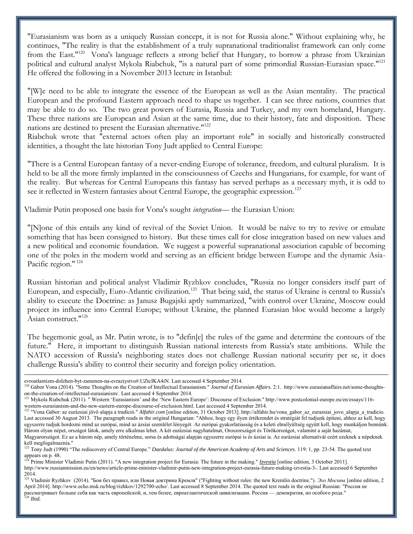"Eurasianism was born as a uniquely Russian concept, it is not for Russia alone." Without explaining why, he continues, "The reality is that the establishment of a truly supranational traditionalist framework can only come from the East."<sup>120</sup> Vona's language reflects a strong belief that Hungary, to borrow a phrase from Ukrainian political and cultural analyst Mykola Riabchuk, "is a natural part of some primordial Russian-Eurasian space."<sup>121</sup> He offered the following in a November 2013 lecture in Istanbul:

"[W]e need to be able to integrate the essence of the European as well as the Asian mentality. The practical European and the profound Eastern approach need to shape us together. I can see three nations, countries that may be able to do so. The two great powers of Eurasia, Russia and Turkey, and my own homeland, Hungary. These three nations are European and Asian at the same time, due to their history, fate and disposition. These nations are destined to present the Eurasian alternative."<sup>122</sup>

Riabchuk wrote that "external actors often play an important role" in socially and historically constructed identities, a thought the late historian Tony Judt applied to Central Europe:

"There is a Central European fantasy of a never-ending Europe of tolerance, freedom, and cultural pluralism. It is held to be all the more firmly implanted in the consciousness of Czechs and Hungarians, for example, for want of the reality. But whereas for Central Europeans this fantasy has served perhaps as a necessary myth, it is odd to see it reflected in Western fantasies about Central Europe, the geographic expression.<sup>123</sup>

Vladimir Putin proposed one basis for Vona's sought *integration*— the Eurasian Union:

"[N]one of this entails any kind of revival of the Soviet Union. It would be naïve to try to revive or emulate something that has been consigned to history. But these times call for close integration based on new values and a new political and economic foundation. We suggest a powerful supranational association capable of becoming one of the poles in the modern world and serving as an efficient bridge between Europe and the dynamic Asia-Pacific region."<sup>124</sup>

Russian historian and political analyst Vladimir Ryzhkov concludes, "Russia no longer considers itself part of European, and especially, Euro-Atlantic civilization.<sup>125</sup> That being said, the status of Ukraine is central to Russia's ability to execute the Doctrine: as Janusz Bugajski aptly summarized, "with control over Ukraine, Moscow could project its influence into Central Europe; without Ukraine, the planned Eurasian bloc would become a largely Asian construct."<sup>126</sup>

The hegemonic goal, as Mr. Putin wrote, is to "defin[e] the rules of the game and determine the contours of the future." Here, it important to distinguish Russian national interests from Russia's state ambitions. While the NATO accession of Russia's neighboring states does not challenge Russian national security per se, it does challenge Russia's ability to control their security and foreign policy orientation.

evroatlantizm-dolzhen-byt-zamenen-na-evraziystvo#.UZtcIKA4iN. Last accessed 4 September 2014.

<sup>&</sup>lt;sup>120</sup> Gábor Vona (2014). "Some Thoughts on the Creation of Intellectual Eurasianism." *Journal of Eurasian Affairs*. 2:1. http://www.eurasianaffairs.net/some-thoughtson-the-creation-of-intellectual-eurasianism/. Last accessed 4 September 2014.

<sup>121</sup> Mykola Riabchuk (2011). " Western 'Eurasianism' and the 'New Eastern Europe': Discourse of Exclusion." http://www.postcolonial-europe.eu/en/essays/116 western-eurasianism-and-the-new-eastern-europe-discourse-of-exclusion.html. Last accessed 4 September 2014.

<sup>&</sup>lt;sup>122</sup> "Vona Gábor: az eurázsiai jövő alapja a tradíció." Alfahir.com [online edition, 31 October 2013]. http://alfahir.hu/vona\_gabor\_az\_eurazsiai\_jovo\_alapja\_a\_tradicio. Last accessed 30 August 2013. The paragraph reads in the original Hungarian: "Ahhoz, hogy egy ilyen értékrendet és stratégiát fel tudjunk építeni, ahhoz az kell, hogy egyszerre tudjuk hordozni mind az európai, mind az ázsiai szemlélet lényegét. Az európai gyakorlatiasság és a keleti elmélyültség együtt kell, hogy munkáljon bennünk. Három olyan népet, országot látok, amely erre alkalmas lehet. A két eurázsiai nagyhatalmat, Oroszországot és Törökországot, valamint a saját hazámat, Magyarországot. Ez az a három nép, amely történelme, sorsa és adottságai alapján egyszerre európai is és ázsiai is. Az eurázsiai alternatívát ezért ezeknek a népeknek

kell megfogalmaznia."

<sup>&</sup>lt;sup>123</sup> Tony Judt (1990) "The rediscovery of Central Europe." *Daedalus: Journal of the American Academy of Arts and Sciences*. 119: 1, pp. 23-54. The quoted text appears on p. 48.

<sup>124</sup> Prime Minister Vladimir Putin (2011). "A new integration project for Eurasia: The future in the making." *Izvestia* [online edition, 3 October 2011].

http://www.russianmission.eu/en/news/article-prime-minister-vladimir-putin-new-integration-project-eurasia-future-making-izvestia-3-. Last accessed 6 September 2014.

<sup>1&</sup>lt;sup>25</sup> Vladimir Ryzhkov (2014). "Бои без правил, или Новая доктрина Кремля" ("Fighting without rules: the new Kremlin doctrine."). *Эхо Москвы* [online edition, 2 April 2014]. http://www.echo.msk.ru/blog/rizhkov/1292700-echo/. Last accessed 8 September 2014. The quoted text reads in the original Russian: "Россия не рассматривает больше себя как часть европейской, и, тем более, евроатлантической цивилизации. Россия — демократия, но особого рода." <sup>126</sup> *Ibid.*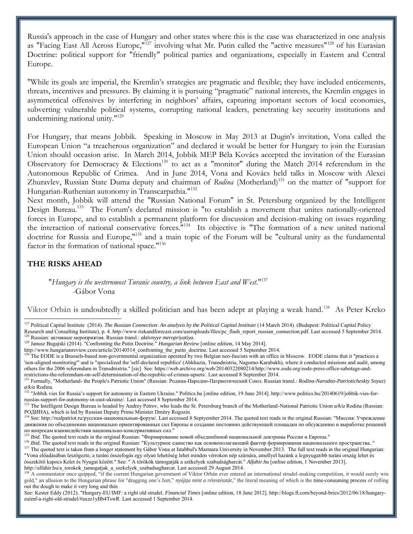Russia's approach in the case of Hungary and other states where this is the case was characterized in one analysis as "Facing East All Across Europe,"<sup>127</sup> involving what Mr. Putin called the "active measures"<sup>128</sup> of his Eurasian Doctrine: political support for "friendly" political parties and organizations, especially in Eastern and Central Europe.

"While its goals are imperial, the Kremlin's strategies are pragmatic and flexible; they have included enticements, threats, incentives and pressures. By claiming it is pursuing "pragmatic" national interests, the Kremlin engages in asymmetrical offensives by interfering in neighbors' affairs, capturing important sectors of local economies, subverting vulnerable political systems, corrupting national leaders, penetrating key security institutions and undermining national unity.<sup>"129</sup>

For Hungary, that means Jobbik. Speaking in Moscow in May 2013 at Dugin's invitation, Vona called the European Union "a treacherous organization" and declared it would be better for Hungary to join the Eurasian Union should occasion arise. In March 2014, Jobbik MEP Béla Kovács accepted the invitation of the Eurasian Observatory for Democracy & Elections<sup>130</sup> to act as a "monitor" during the Match 2014 referendum in the Autonomous Republic of Crimea. And in June 2014, Vona and Kovács held talks in Moscow with Alexei Zhuravley, Russian State Duma deputy and chairman of *Rodina* (Motherland)<sup>131</sup> on the matter of "support for Hungarian-Ruthenian autonomy in Transcarpathia.<sup>"132</sup>

Next month, Jobbik will attend the "Russian National Forum" in St. Petersburg organized by the Intelligent Design Bureau.<sup>133</sup> The Forum's declared mission is "to establish a movement that unites nationally-oriented forces in Europe, and to establish a permanent platform for discussion and decision-making on issues regarding the interaction of national conservative forces."<sup>134</sup> Its objective is "The formation of a new united national doctrine for Russia and Europe,"<sup>135</sup> and a main topic of the Forum will be "cultural unity as the fundamental factor in the formation of national space."<sup>136</sup>

# **THE RISKS AHEAD**

 $\overline{a}$ 

## "*Hungary is the westernmost Turanic country, a link between East and West*."<sup>137</sup> -Gábor Vona

Viktor Orbán is undoubtedly a skilled politician and has been adept at playing a weak hand.<sup>138</sup> As Peter Kreko

<sup>128</sup> Russian: активные мероприятия. Russian transl.: *aktivnyye meropriyatiya.*

http://www.hungarianreview.com/article/20140514\_confronting\_the\_putin\_doctrine. Last accessed 5 September 2014.

összekötő kapocs Kelet és Nyugat között." See: " A törökök támogatják a székelyek szabadságharcát." Alfahir.hu [online edition, 1 November 2013]. http://alfahir.hu/a\_torokok\_tamogatjak\_a\_szekelyek\_szabadsagharcat. Last accessed 29 August 2014.

<sup>&</sup>lt;sup>127</sup> Political Capital Institute (2014). *The Russian Connection: An analysis by the Political Capital Institute* (14 March 2014). (Budapest: Political Capital Policy Research and Consulting Institute), p. 4. http://www.riskandforecast.com/useruploads/files/pc\_flash\_report\_russian\_connection.pdf. Last accessed 5 September 2014.

<sup>129</sup> Janusz Bugajski (2014). "Confronting the Putin Doctrine." *Hungarian Review* [online edition, 14 May 2014].

The EODE is a Brussels-based non-governmental organization operated by two Belgian neo-fascists with an office in Moscow. EODE claims that it "practices a 'non-aligned monitoring'" and is "specialized the 'self-declared republics' (Abkhazia, Transdnistria, Nagorno-Karabakh), where it conducted missions and audit, among others for the 2006 referendum in Transdnistria." [sic] See: https://web.archive.org/web/20140322080214/http://www.eode.org/eode-press-office-sabotage-andrestrictions-the-referendum-on-self-determination-of-the-republic-of-crimea-upsets/. Last accessed 8 September 2014.

<sup>&</sup>lt;sup>131</sup> Formally, "Motherland- the People's Patriotic Union" (Russian: Родина-Народно-Патриотический Союз. Russian transl.: *Rodina-Narodno-Patrioticheskiy Soyuz*) *a/k/a* Rodina.

<sup>&</sup>lt;sup>132</sup> "Jobbik vies for Russia's support for autonomy in Eastern Ukraine." Politics.hu [online edition, 19 June 2014]. http://www.politics.hu/20140619/jobbik-vies-forrussias-support-for-autonomy-in-east-ukraine/. Last accessed 8 September 2014.

<sup>&</sup>lt;sup>133</sup> The Intelligent Design Bureau is headed by Andrey Petrov, who leads the St. Petersburg branch of the Motherland-National Patriotic Union  $a/a$  Rodina (Russian: РОДИНА), which is led by Russian Deputy Prime Minister Dmitry Rogozin.

<sup>&</sup>lt;sup>134</sup> See: http://realpatriot.ru/русскии-национальныи-форум/. Last accessed 8 Septyember 2014. The quoted text reads in the original Russian: "Миссия: Учреждение движения по объединению национально ориентированных сил Европы и создание постоянно действующей площадки по обсуждению и выработке решений по вопросам взаимодействия национально-консервативных сил."

<sup>&</sup>lt;sup>135</sup> *Ibid.* The quoted text reads in the original Russian: "Формирование новой объединённой национальной доктрины России и Европы."

<sup>&</sup>lt;sup>136</sup> Ibid. The quoted text reads in the original Russian: "Культурное единство как основополагающий фактор формирования национального пространства.." <sup>137</sup> The quoted text is taken from a longer statement by Gábor Vona at Istabbul's Marmara University in November 2013. The full text reads in the original Hungarian: "Vona előadásában leszögezte, a turáni összefogás egy olyan lehetőség lehet minden vérrokon nép számára, amellyel hazánk a legnyugatibb turáni ország lehet és

A commentator once quipped, "if the current Hungarian government of Viktor Orbán ever entered an international strudel-making competition, it would surely win gold," an allusion to the Hungarian phrase for "dragging one's feet," *nyújtja mint a rétestésztát*," the literal meaning of which is the time-consuming process of rolling out the dough to make it very long and thin.

See: Kester Eddy (2012). "Hungary-EU/IMF: a right old strudel. *Financial Times* [online edition, 18 June 2012]. http://blogs.ft.com/beyond-brics/2012/06/18/hungaryeuimf-a-right-old-strudel/#axzz1yBb4TswR. Last accessed 1 September 2014.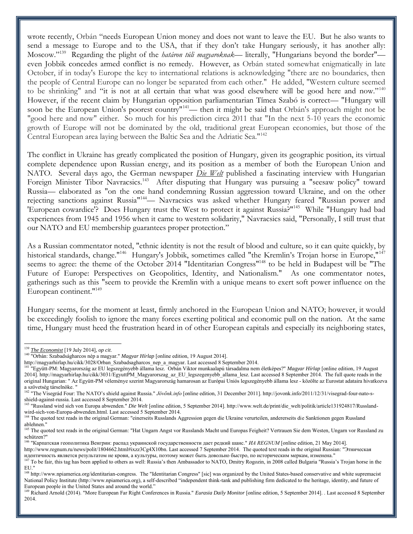wrote recently, Orbán "needs European Union money and does not want to leave the EU. But he also wants to send a message to Europe and to the USA, that if they don't take Hungary seriously, it has another ally: Moscow."<sup>139</sup> Regarding the plight of the *határon túli magyaroknak*— literally, "Hungarians beyond the border" even Jobbik concedes armed conflict is no remedy. However, as Orbán stated somewhat enigmatically in late October, if in today's Europe the key to international relations is acknowledging "there are no boundaries, then the people of Central Europe can no longer be separated from each other." He added, "Western culture seemed to be shrinking" and "it is not at all certain that what was good elsewhere will be good here and now."<sup>140</sup> However, if the recent claim by Hungarian opposition parliamentarian Tímea Szabó is correct— "Hungary will soon be the European Union's poorest country"<sup>141</sup>— then it might be said that Orbán's approach might not be "good here and now" either. So much for his prediction circa 2011 that "In the next 5-10 years the economic growth of Europe will not be dominated by the old, traditional great European economies, but those of the Central European area laying between the Baltic Sea and the Adriatic Sea."<sup>142</sup>

The conflict in Ukraine has greatly complicated the position of Hungary, given its geographic position, its virtual complete dependence upon Russian energy, and its position as a member of both the European Union and NATO. Several days ago, the German newspaper *Die Welt* published a fascinating interview with Hungarian Foreign Minister Tibor Navracsics.<sup>143</sup> After disputing that Hungary was pursuing a "seesaw policy" toward Russia— elaborated as "on the one hand condemning Russian aggression toward Ukraine, and on the other rejecting sanctions against Russia<sup>"144</sup>— Navracsics was asked whether Hungary feared "Russian power and 'European cowardice'? Does Hungary trust the West to protect it against Russia?"<sup>145</sup> While "Hungary had bad experiences from 1945 and 1956 when it came to western solidarity," Navracsics said, "Personally, I still trust that our NATO and EU membership guarantees proper protection."

As a Russian commentator noted, "ethnic identity is not the result of blood and culture, so it can quite quickly, by historical standards, change."<sup>146</sup> Hungary's Jobbik, sometimes called "the Kremlin's Trojan horse in Europe,"<sup>147</sup> seems to agree: the theme of the October 2014 "Identitarian Congress"<sup>148</sup> to be held in Budapest will be "The Future of Europe: Perspectives on Geopolitics, Identity, and Nationalism." As one commentator notes, gatherings such as this "seem to provide the Kremlin with a unique means to exert soft power influence on the European continent."<sup>149</sup>

Hungary seems, for the moment at least, firmly anchored in the European Union and NATO; however, it would be exceedingly foolish to ignore the many forces exerting political and economic pull on the nation. At the same time, Hungary must heed the frustration heard in of other European capitals and especially its neighboring states,

<sup>139</sup> *The Economist* [19 July 2014], *op cit*.

<sup>140</sup> "Orbán: Szabadságharcos nép a magyar." *Magyar Hírlap* [online edition, 19 August 2014].

http://magyarhirlap.hu/cikk/3028/Orban\_Szabadsagharcos\_nep\_a\_magyar. Last accessed 8 September 2014.

<sup>141</sup> "Együtt-PM: Magyarország az EU legszegényebb állama lesz. Orbán Viktor munkaalapú társadalma nem életképes?" *Magyar Hírlap* [online edition, 19 August 2014]. http://magyarhirlap.hu/cikk/3031/EgyuttPM\_Magyarorszag\_az\_EU\_legszegenyebb\_allama\_lesz. Last accessed 8 September 2014. The full quote reads in the original Hungarian: " Az Együtt-PM véleménye szerint Magyarország hamarosan az Európai Uniós legszegényebb állama lesz - közölte az Eurostat adataira hivatkozva a szövetség társelnöke. "

<sup>142</sup> "The Visegrád Four: The NATO's shield against Russia." *Jövőnk.info* [online edition, 31 December 2011]. http://jovonk.info/2011/12/31/visegrad-four-nato-sshield-against-russia. Last accessed 8 September 2014.

<sup>&</sup>lt;sup>143</sup> "Russland wird sich von Europa abwenden." *Die Welt* [online edition, 5 September 2014]. http://www.welt.de/print/die welt/politik/article131924817/Russlandwird-sich-von-Europa-abwenden.html. Last accessed 5 September 2014.

<sup>&</sup>lt;sup>144</sup> The quoted text reads in the original German: "einerseits Russlands Aggression gegen die Ukraine verurteilen, andererseits die Sanktionen gegen Russland ablehnen."

<sup>145</sup> The quoted text reads in the original German: "Hat Ungarn Angst vor Russlands Macht und Europas Feigheit? Vertrauen Sie dem Westen, Ungarn vor Russland zu schützen?"

<sup>146</sup> "Карпатская геополитика Венгрии: распад украинской государственности дает редкий шанс." *ИА REGNUM* [online edition, 21 May 2014].

http://www.regnum.ru/news/polit/1804662.html#ixzz3Cg4X10bn. Last accessed 7 September 2014. The quoted text reads in the original Russian: "Этническая идентичность является результатом не крови, а культуры, поэтому может быть довольно быстро, по историческим меркам, изменена."

<sup>&</sup>lt;sup>147</sup> To be fair, this tag has been applied to others as well: Russia's then Ambassador to NATO, Dmitry Rogozin, in 2008 called Bulgaria "Russia's Trojan horse in the EU."

<sup>&</sup>lt;sup>148</sup> http://www.npiamerica.org/identitarian-congress. The "Identitarian Congress" [sic] was organized by the United States-based conservative and white supremacist National Policy Institute (http://www.npiamerica.org), a self-described "independent think-tank and publishing firm dedicated to the heritage, identity, and future of European people in the United States and around the world."

<sup>149</sup> Richard Arnold (2014). "More European Far Right Conferences in Russia." *Eurasia Daily Monitor* [online edition, 5 September 2014]. . Last accessed 8 September 2014.